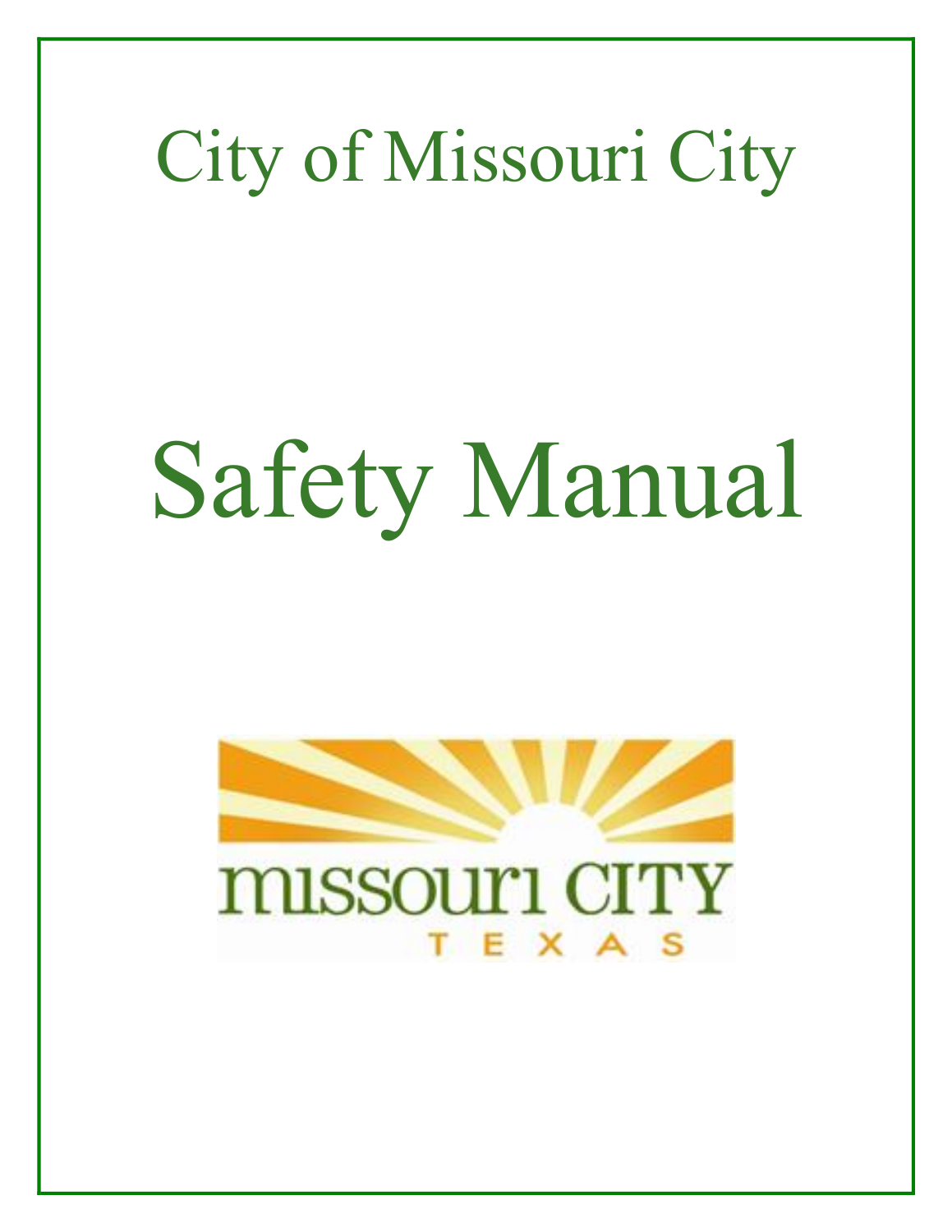# City of Missouri City

# Safety Manual

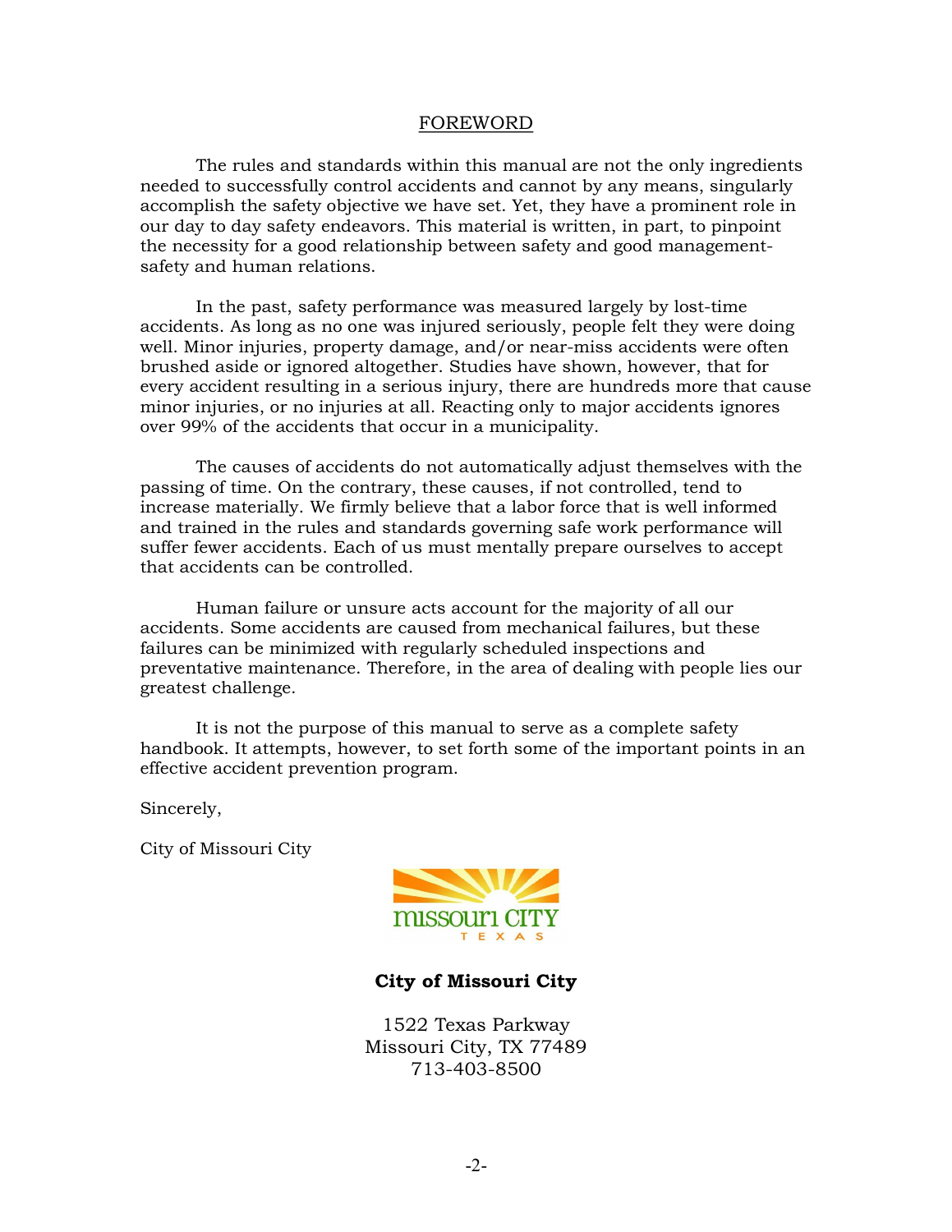#### FOREWORD

The rules and standards within this manual are not the only ingredients needed to successfully control accidents and cannot by any means, singularly accomplish the safety objective we have set. Yet, they have a prominent role in our day to day safety endeavors. This material is written, in part, to pinpoint the necessity for a good relationship between safety and good management safety and human relations.

In the past, safety performance was measured largely by lost-time accidents. As long as no one was injured seriously, people felt they were doing well. Minor injuries, property damage, and/or near-miss accidents were often brushed aside or ignored altogether. Studies have shown, however, that for every accident resulting in a serious injury, there are hundreds more that cause minor injuries, or no injuries at all. Reacting only to major accidents ignores over 99% of the accidents that occur in a municipality.

The causes of accidents do not automatically adjust themselves with the passing of time. On the contrary, these causes, if not controlled, tend to increase materially. We firmly believe that a labor force that is well informed and trained in the rules and standards governing safe work performance will suffer fewer accidents. Each of us must mentally prepare ourselves to accept that accidents can be controlled.

Human failure or unsure acts account for the majority of all our accidents. Some accidents are caused from mechanical failures, but these failures can be minimized with regularly scheduled inspections and preventative maintenance. Therefore, in the area of dealing with people lies our greatest challenge.

It is not the purpose of this manual to serve as a complete safety handbook. It attempts, however, to set forth some of the important points in an effective accident prevention program.

Sincerely,

City of Missouri City



#### **City of Missouri City**

1522 Texas Parkway Missouri City, TX 77489 713-403-8500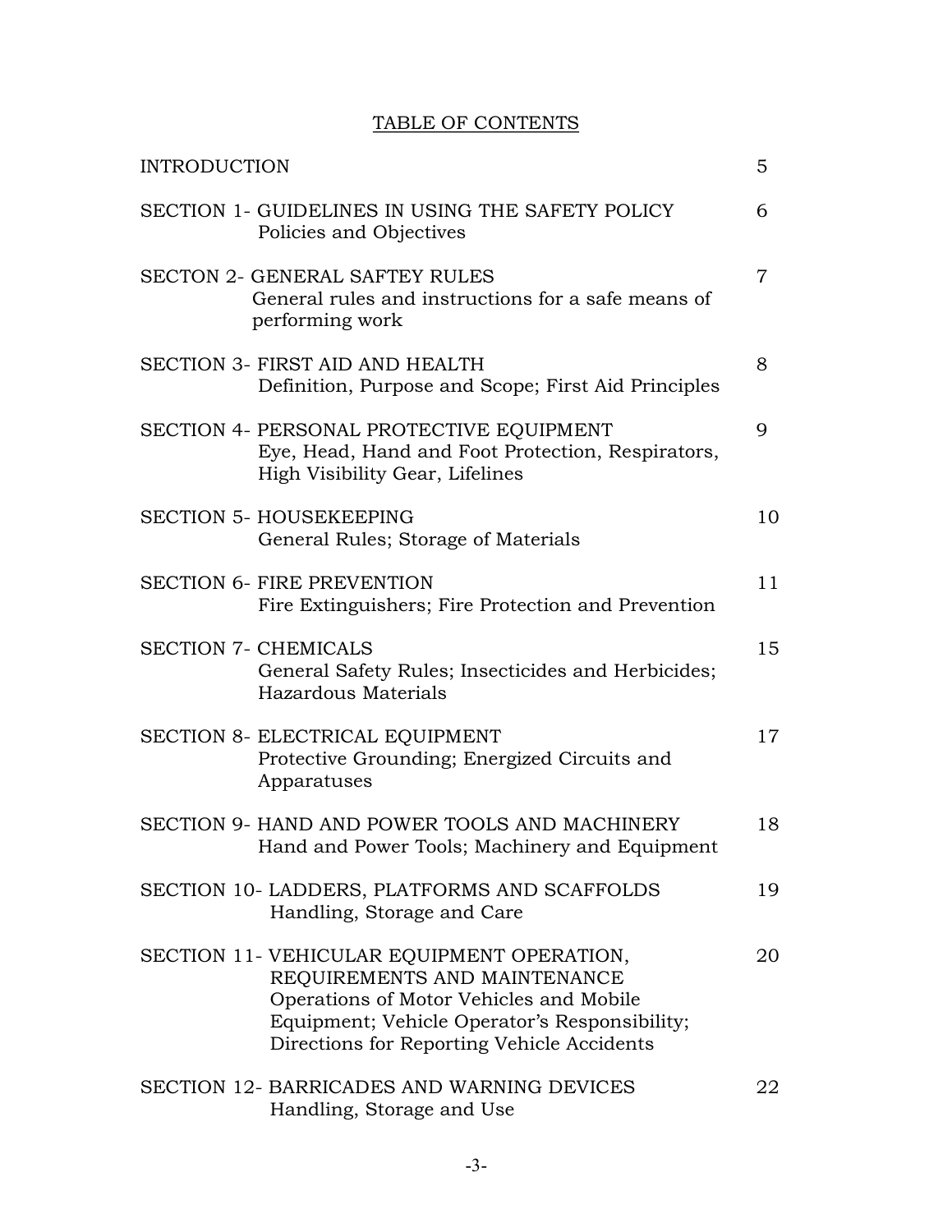# TABLE OF CONTENTS

| <b>INTRODUCTION</b> |                                                                                                                                                                                                                      | 5              |
|---------------------|----------------------------------------------------------------------------------------------------------------------------------------------------------------------------------------------------------------------|----------------|
|                     | SECTION 1- GUIDELINES IN USING THE SAFETY POLICY<br>Policies and Objectives                                                                                                                                          | 6              |
|                     | <b>SECTON 2- GENERAL SAFTEY RULES</b><br>General rules and instructions for a safe means of<br>performing work                                                                                                       | $\overline{7}$ |
|                     | <b>SECTION 3- FIRST AID AND HEALTH</b><br>Definition, Purpose and Scope; First Aid Principles                                                                                                                        | 8              |
|                     | SECTION 4- PERSONAL PROTECTIVE EQUIPMENT<br>Eye, Head, Hand and Foot Protection, Respirators,<br>High Visibility Gear, Lifelines                                                                                     | 9              |
|                     | <b>SECTION 5- HOUSEKEEPING</b><br>General Rules; Storage of Materials                                                                                                                                                | 10             |
|                     | <b>SECTION 6- FIRE PREVENTION</b><br>Fire Extinguishers; Fire Protection and Prevention                                                                                                                              | 11             |
|                     | <b>SECTION 7- CHEMICALS</b><br>General Safety Rules; Insecticides and Herbicides;<br>Hazardous Materials                                                                                                             | 15             |
|                     | SECTION 8- ELECTRICAL EQUIPMENT<br>Protective Grounding; Energized Circuits and<br>Apparatuses                                                                                                                       | 17             |
|                     | SECTION 9- HAND AND POWER TOOLS AND MACHINERY<br>Hand and Power Tools; Machinery and Equipment                                                                                                                       | 18             |
|                     | SECTION 10- LADDERS, PLATFORMS AND SCAFFOLDS<br>Handling, Storage and Care                                                                                                                                           | 19             |
|                     | SECTION 11- VEHICULAR EQUIPMENT OPERATION,<br>REQUIREMENTS AND MAINTENANCE<br>Operations of Motor Vehicles and Mobile<br>Equipment; Vehicle Operator's Responsibility;<br>Directions for Reporting Vehicle Accidents | 20             |
|                     | <b>SECTION 12- BARRICADES AND WARNING DEVICES</b><br>Handling, Storage and Use                                                                                                                                       | 22             |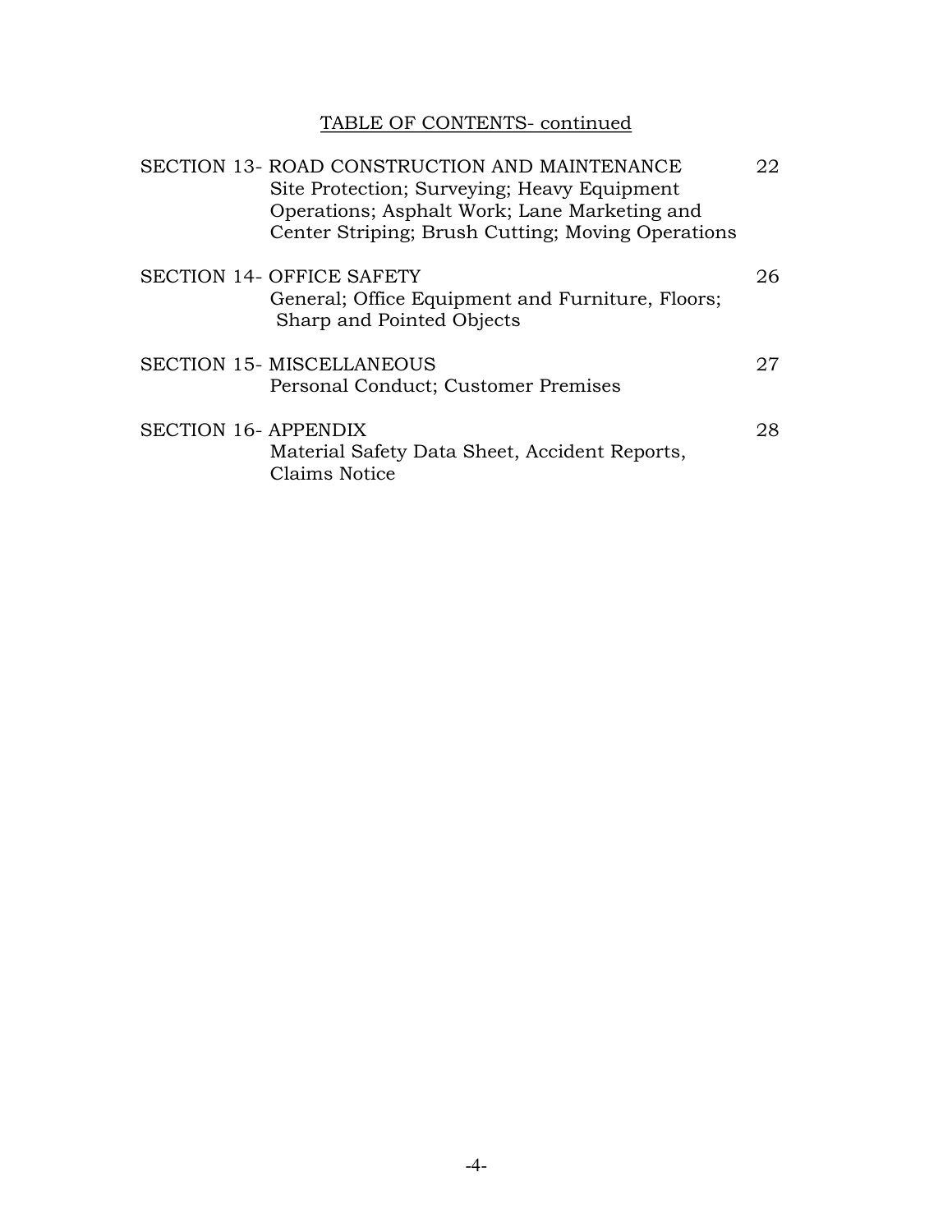# TABLE OF CONTENTS- continued

|  | SECTION 13- ROAD CONSTRUCTION AND MAINTENANCE<br>Site Protection; Surveying; Heavy Equipment<br>Operations; Asphalt Work; Lane Marketing and<br>Center Striping; Brush Cutting; Moving Operations | 22 |
|--|---------------------------------------------------------------------------------------------------------------------------------------------------------------------------------------------------|----|
|  | <b>SECTION 14- OFFICE SAFETY</b><br>General; Office Equipment and Furniture, Floors;<br>Sharp and Pointed Objects                                                                                 | 26 |
|  | <b>SECTION 15- MISCELLANEOUS</b><br>Personal Conduct; Customer Premises                                                                                                                           | 27 |
|  | <b>SECTION 16- APPENDIX</b><br>Material Safety Data Sheet, Accident Reports,<br>Claims Notice                                                                                                     | 28 |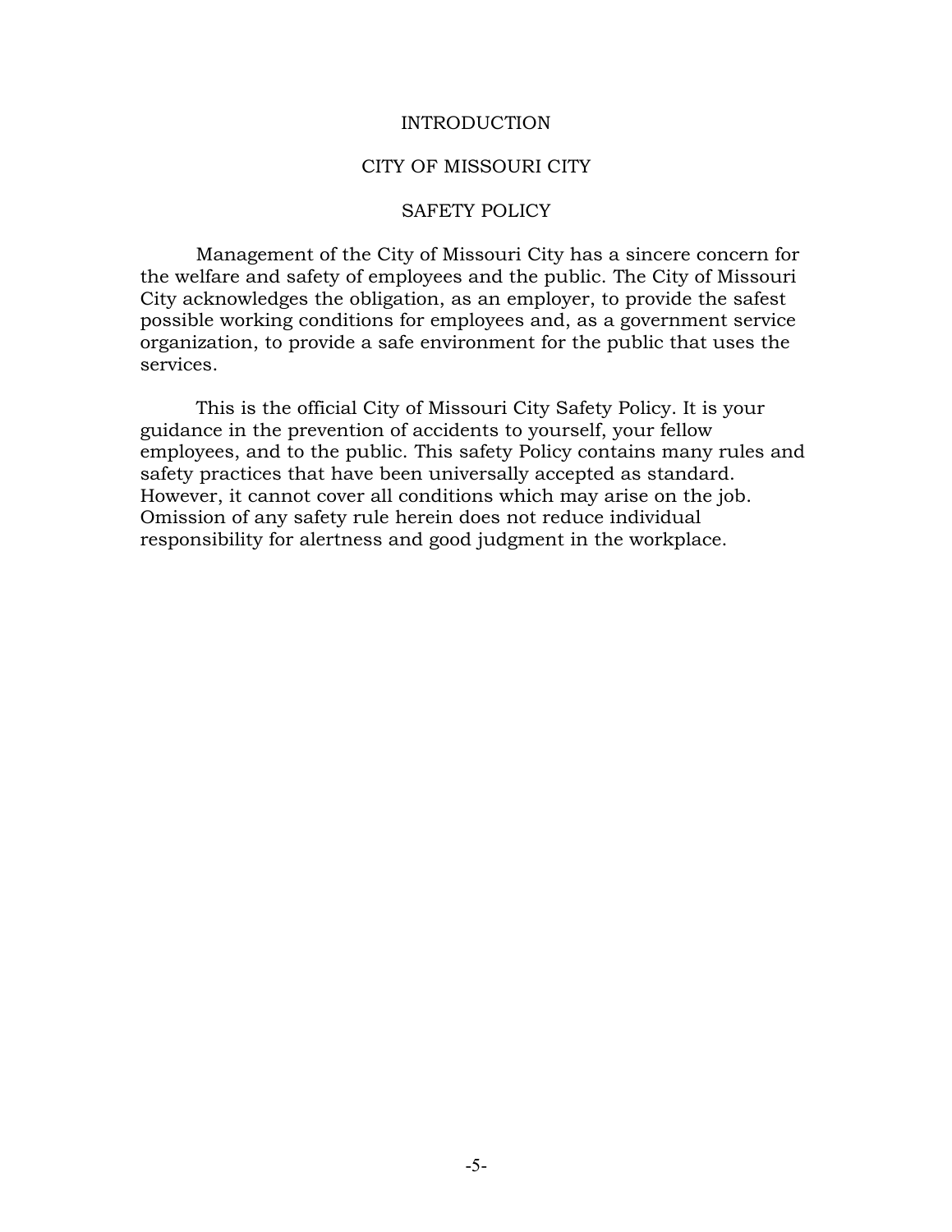#### INTRODUCTION

#### CITY OF MISSOURI CITY

#### SAFETY POLICY

Management of the City of Missouri City has a sincere concern for the welfare and safety of employees and the public. The City of Missouri City acknowledges the obligation, as an employer, to provide the safest possible working conditions for employees and, as a government service organization, to provide a safe environment for the public that uses the services.

This is the official City of Missouri City Safety Policy. It is your guidance in the prevention of accidents to yourself, your fellow employees, and to the public. This safety Policy contains many rules and safety practices that have been universally accepted as standard. However, it cannot cover all conditions which may arise on the job. Omission of any safety rule herein does not reduce individual responsibility for alertness and good judgment in the workplace.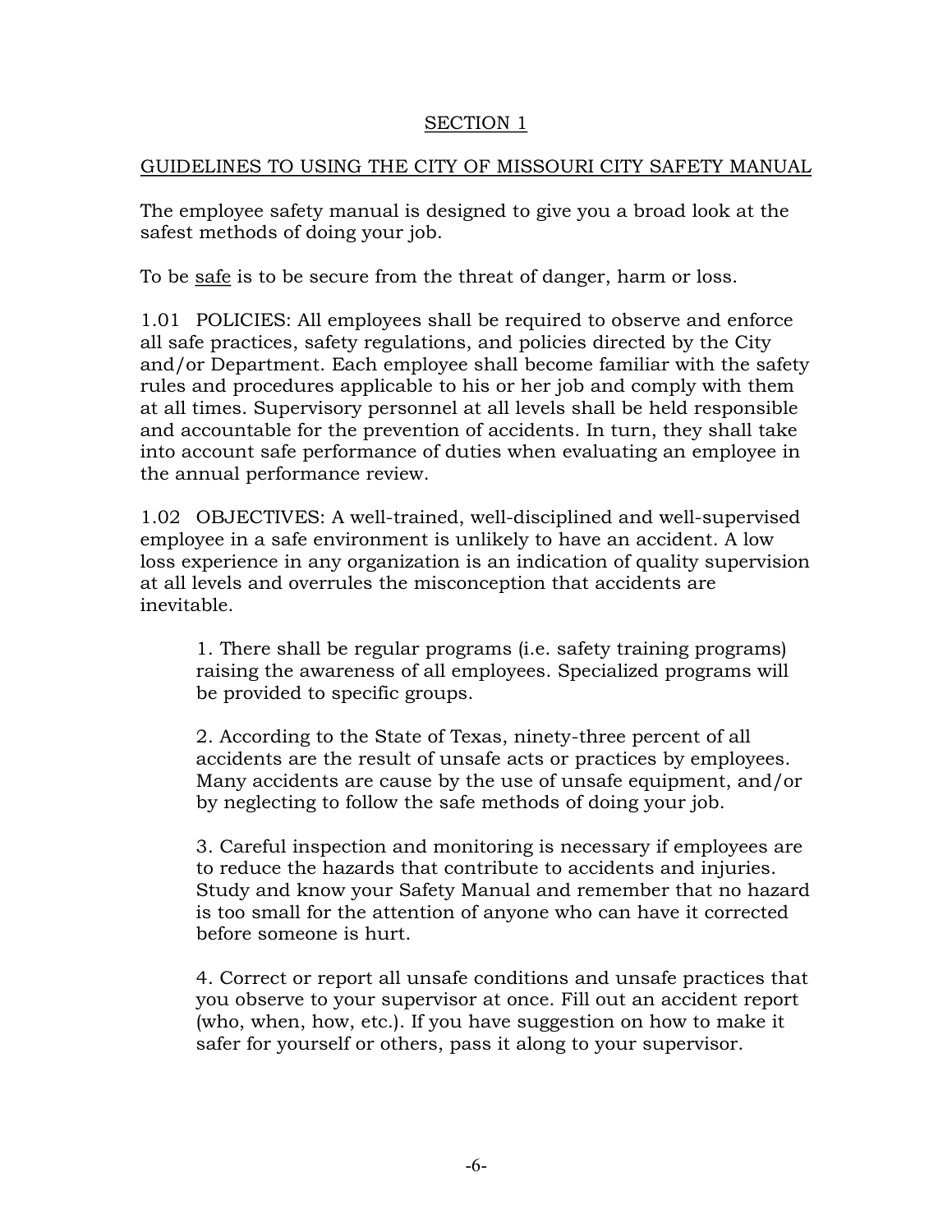# SECTION 1

# GUIDELINES TO USING THE CITY OF MISSOURI CITY SAFETY MANUAL

The employee safety manual is designed to give you a broad look at the safest methods of doing your job.

To be safe is to be secure from the threat of danger, harm or loss.

1.01 POLICIES: All employees shall be required to observe and enforce all safe practices, safety regulations, and policies directed by the City and/or Department. Each employee shall become familiar with the safety rules and procedures applicable to his or her job and comply with them at all times. Supervisory personnel at all levels shall be held responsible and accountable for the prevention of accidents. In turn, they shall take into account safe performance of duties when evaluating an employee in the annual performance review.

1.02 OBJECTIVES: A well-trained, well-disciplined and well-supervised employee in a safe environment is unlikely to have an accident. A low loss experience in any organization is an indication of quality supervision at all levels and overrules the misconception that accidents are inevitable.

1. There shall be regular programs (i.e. safety training programs) raising the awareness of all employees. Specialized programs will be provided to specific groups.

2. According to the State of Texas, ninety-three percent of all accidents are the result of unsafe acts or practices by employees. Many accidents are cause by the use of unsafe equipment, and/or by neglecting to follow the safe methods of doing your job.

3. Careful inspection and monitoring is necessary if employees are to reduce the hazards that contribute to accidents and injuries. Study and know your Safety Manual and remember that no hazard is too small for the attention of anyone who can have it corrected before someone is hurt.

4. Correct or report all unsafe conditions and unsafe practices that you observe to your supervisor at once. Fill out an accident report (who, when, how, etc.). If you have suggestion on how to make it safer for yourself or others, pass it along to your supervisor.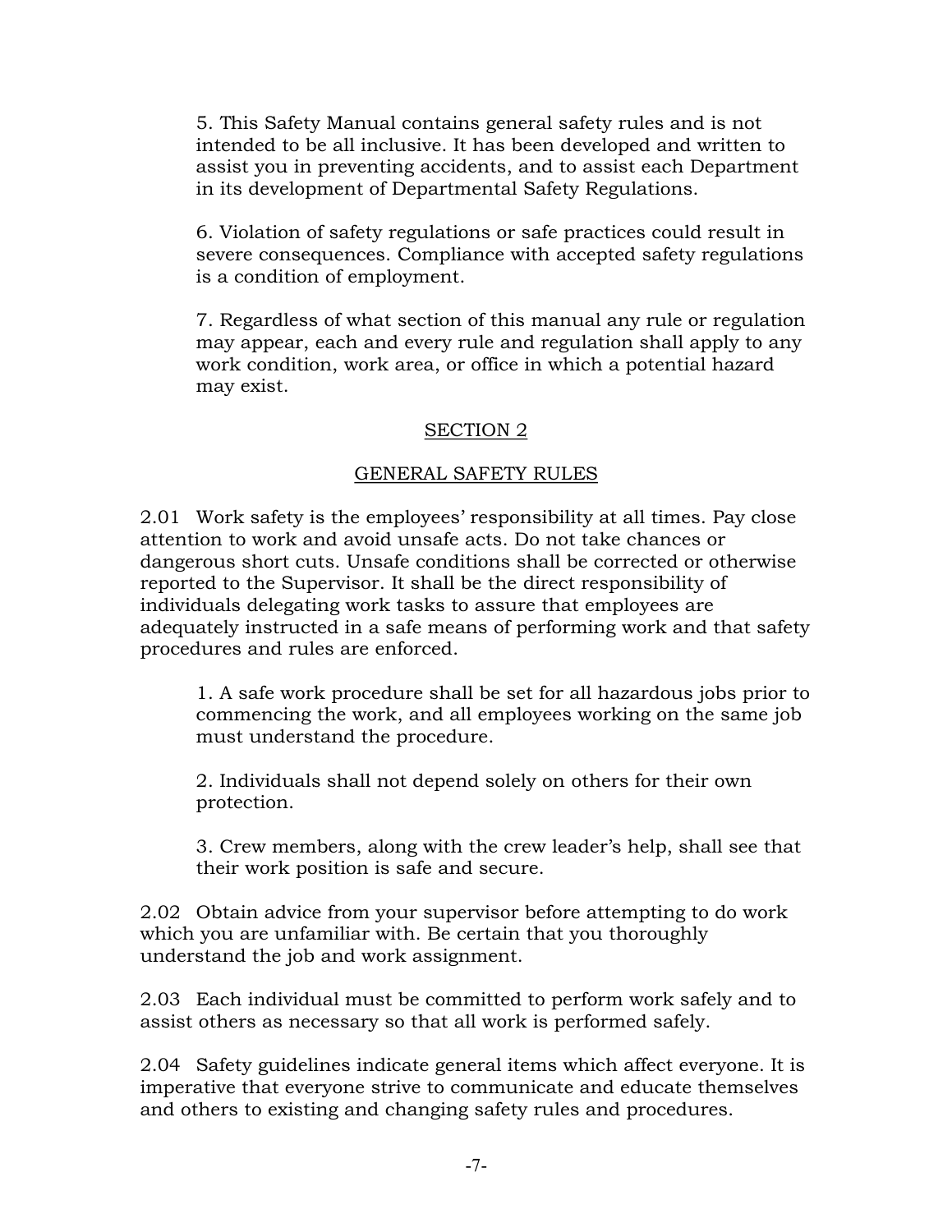5. This Safety Manual contains general safety rules and is not intended to be all inclusive. It has been developed and written to assist you in preventing accidents, and to assist each Department in its development of Departmental Safety Regulations.

6. Violation of safety regulations or safe practices could result in severe consequences. Compliance with accepted safety regulations is a condition of employment.

7. Regardless of what section of this manual any rule or regulation may appear, each and every rule and regulation shall apply to any work condition, work area, or office in which a potential hazard may exist.

# SECTION 2

# GENERAL SAFETY RULES

2.01 Work safety is the employees' responsibility at all times. Pay close attention to work and avoid unsafe acts. Do not take chances or dangerous short cuts. Unsafe conditions shall be corrected or otherwise reported to the Supervisor. It shall be the direct responsibility of individuals delegating work tasks to assure that employees are adequately instructed in a safe means of performing work and that safety procedures and rules are enforced.

1. A safe work procedure shall be set for all hazardous jobs prior to commencing the work, and all employees working on the same job must understand the procedure.

2. Individuals shall not depend solely on others for their own protection.

3. Crew members, along with the crew leader's help, shall see that their work position is safe and secure.

2.02 Obtain advice from your supervisor before attempting to do work which you are unfamiliar with. Be certain that you thoroughly understand the job and work assignment.

2.03 Each individual must be committed to perform work safely and to assist others as necessary so that all work is performed safely.

2.04 Safety guidelines indicate general items which affect everyone. It is imperative that everyone strive to communicate and educate themselves and others to existing and changing safety rules and procedures.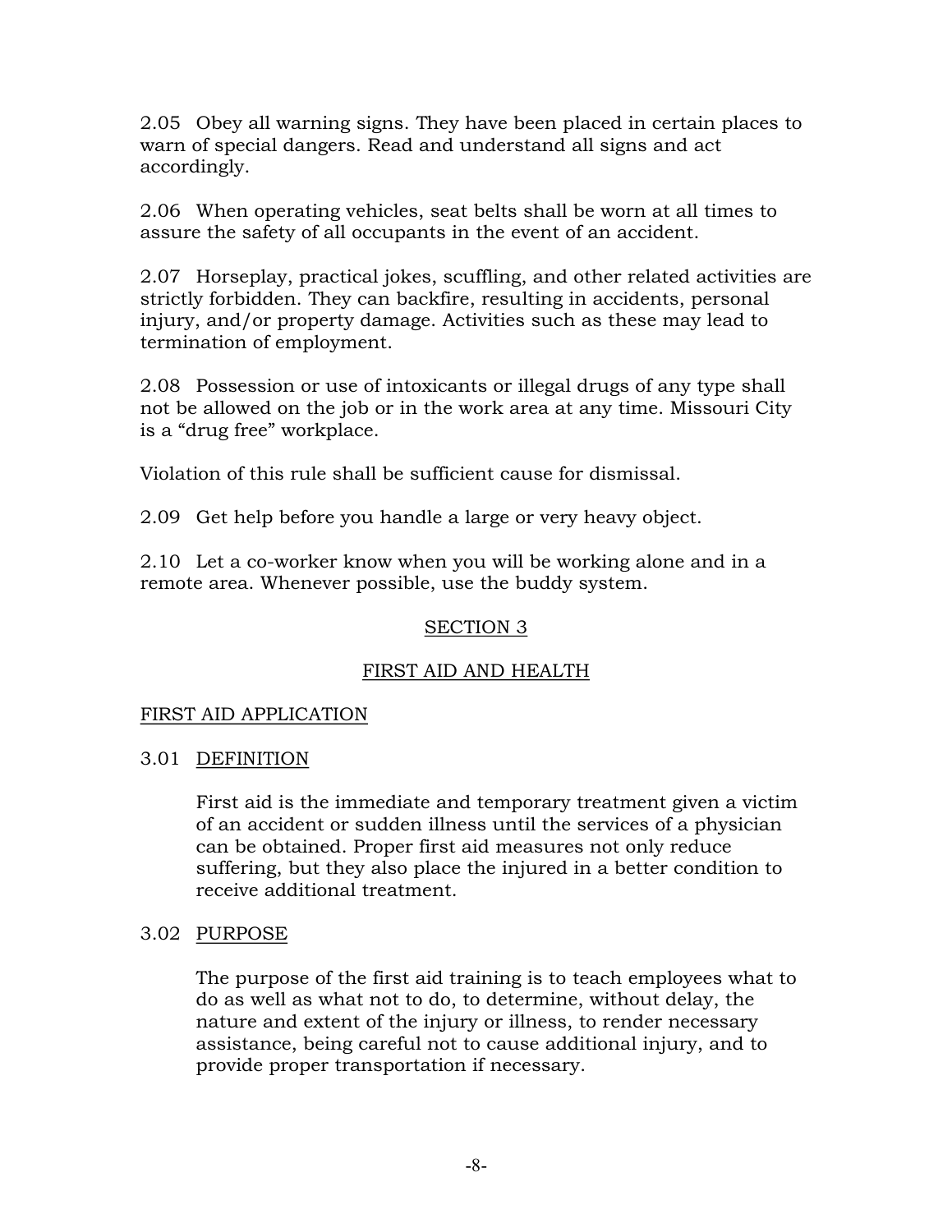2.05 Obey all warning signs. They have been placed in certain places to warn of special dangers. Read and understand all signs and act accordingly.

2.06 When operating vehicles, seat belts shall be worn at all times to assure the safety of all occupants in the event of an accident.

2.07 Horseplay, practical jokes, scuffling, and other related activities are strictly forbidden. They can backfire, resulting in accidents, personal injury, and/or property damage. Activities such as these may lead to termination of employment.

2.08 Possession or use of intoxicants or illegal drugs of any type shall not be allowed on the job or in the work area at any time. Missouri City is a "drug free" workplace.

Violation of this rule shall be sufficient cause for dismissal.

2.09 Get help before you handle a large or very heavy object.

2.10 Let a co-worker know when you will be working alone and in a remote area. Whenever possible, use the buddy system.

# SECTION 3

# FIRST AID AND HEALTH

# FIRST AID APPLICATION

# 3.01 DEFINITION

First aid is the immediate and temporary treatment given a victim of an accident or sudden illness until the services of a physician can be obtained. Proper first aid measures not only reduce suffering, but they also place the injured in a better condition to receive additional treatment.

# 3.02 PURPOSE

The purpose of the first aid training is to teach employees what to do as well as what not to do, to determine, without delay, the nature and extent of the injury or illness, to render necessary assistance, being careful not to cause additional injury, and to provide proper transportation if necessary.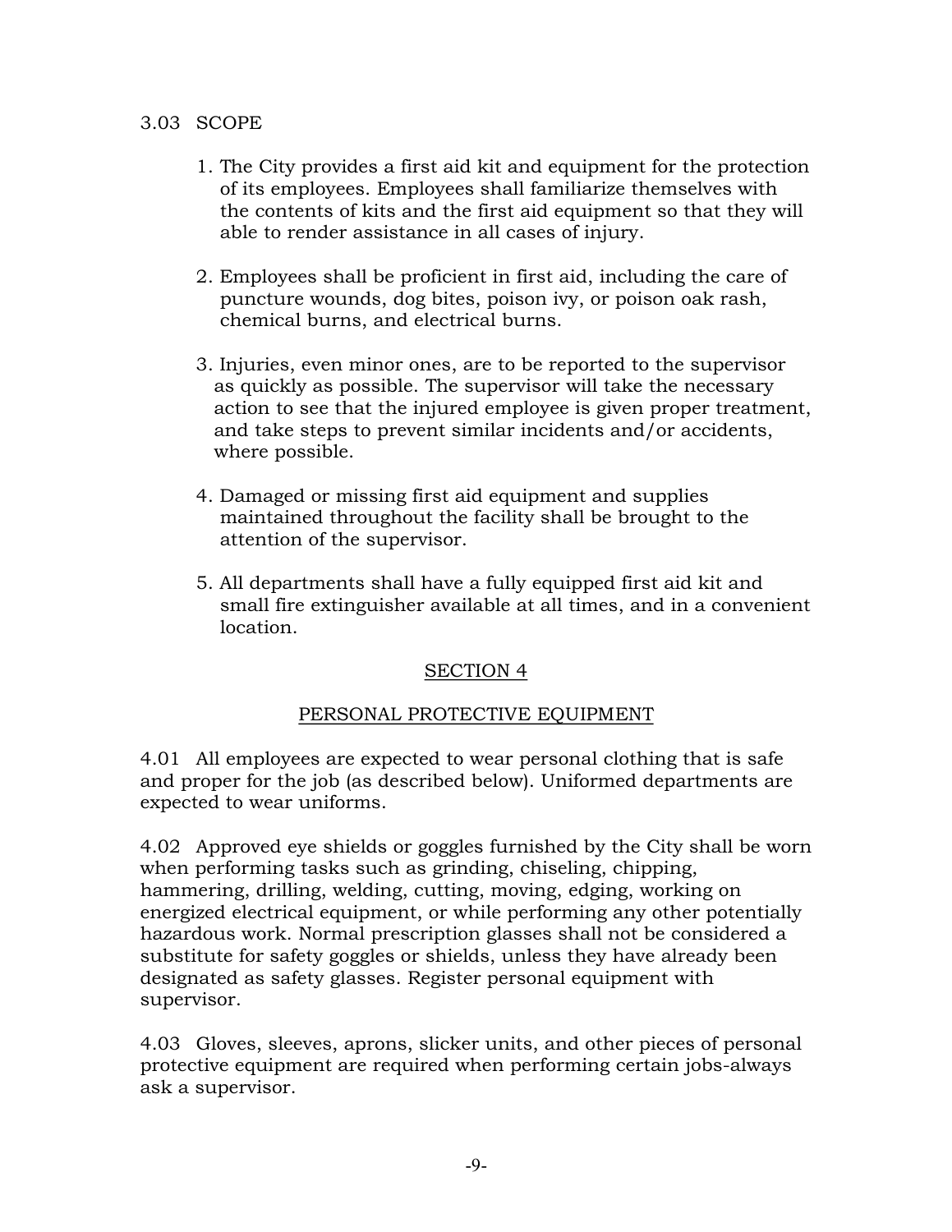# 3.03 SCOPE

- 1. The City provides a first aid kit and equipment for the protection of its employees. Employees shall familiarize themselves with the contents of kits and the first aid equipment so that they will able to render assistance in all cases of injury.
- 2. Employees shall be proficient in first aid, including the care of puncture wounds, dog bites, poison ivy, or poison oak rash, chemical burns, and electrical burns.
- 3. Injuries, even minor ones, are to be reported to the supervisor as quickly as possible. The supervisor will take the necessary action to see that the injured employee is given proper treatment, and take steps to prevent similar incidents and/or accidents, where possible.
- 4. Damaged or missing first aid equipment and supplies maintained throughout the facility shall be brought to the attention of the supervisor.
- 5. All departments shall have a fully equipped first aid kit and small fire extinguisher available at all times, and in a convenient location.

# SECTION 4

# PERSONAL PROTECTIVE EQUIPMENT

4.01 All employees are expected to wear personal clothing that is safe and proper for the job (as described below). Uniformed departments are expected to wear uniforms.

4.02 Approved eye shields or goggles furnished by the City shall be worn when performing tasks such as grinding, chiseling, chipping, hammering, drilling, welding, cutting, moving, edging, working on energized electrical equipment, or while performing any other potentially hazardous work. Normal prescription glasses shall not be considered a substitute for safety goggles or shields, unless they have already been designated as safety glasses. Register personal equipment with supervisor.

4.03 Gloves, sleeves, aprons, slicker units, and other pieces of personal protective equipment are required when performing certain jobs-always ask a supervisor.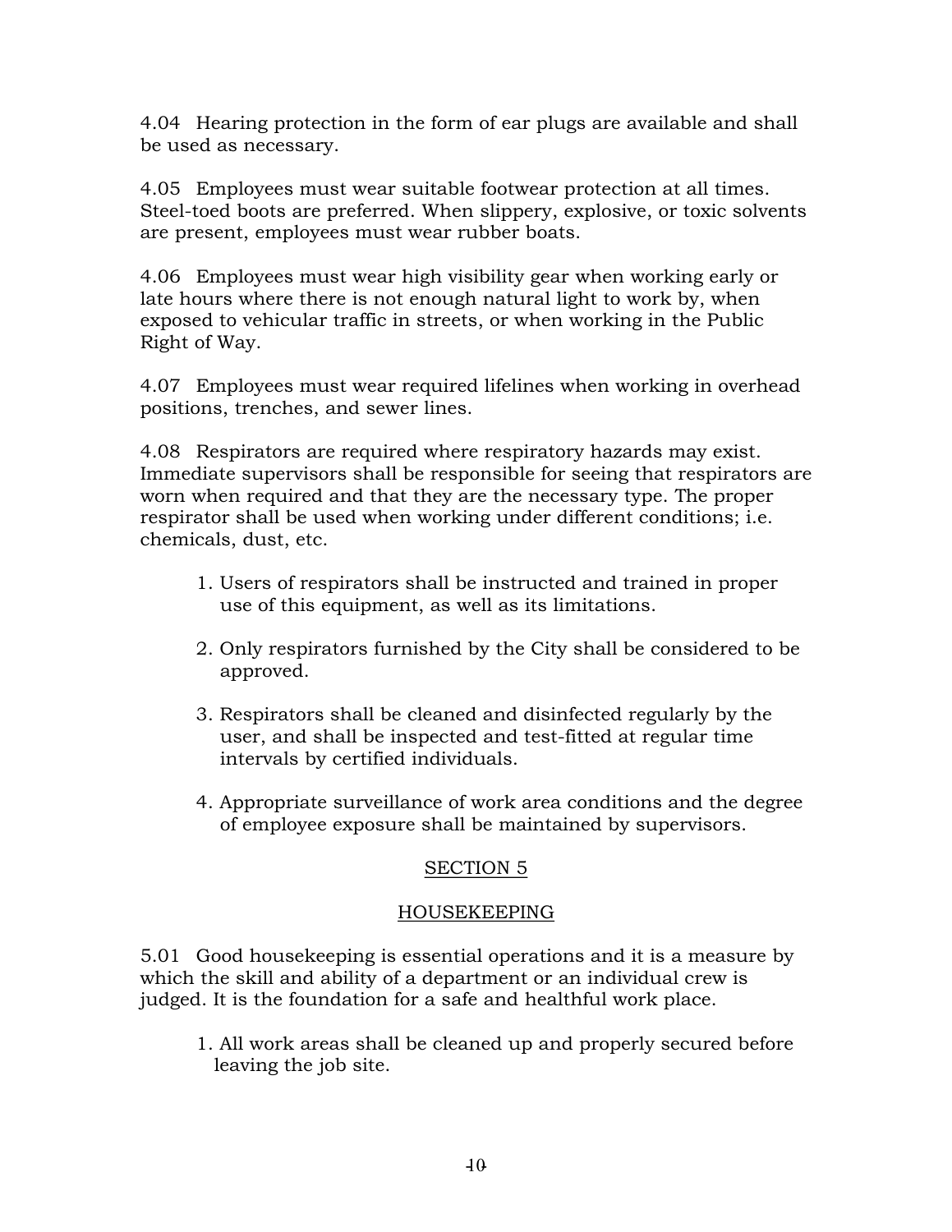4.04 Hearing protection in the form of ear plugs are available and shall be used as necessary.

4.05 Employees must wear suitable footwear protection at all times. Steel-toed boots are preferred. When slippery, explosive, or toxic solvents are present, employees must wear rubber boats.

4.06 Employees must wear high visibility gear when working early or late hours where there is not enough natural light to work by, when exposed to vehicular traffic in streets, or when working in the Public Right of Way.

4.07 Employees must wear required lifelines when working in overhead positions, trenches, and sewer lines.

4.08 Respirators are required where respiratory hazards may exist. Immediate supervisors shall be responsible for seeing that respirators are worn when required and that they are the necessary type. The proper respirator shall be used when working under different conditions; i.e. chemicals, dust, etc.

- 1. Users of respirators shall be instructed and trained in proper use of this equipment, as well as its limitations.
- 2. Only respirators furnished by the City shall be considered to be approved.
- 3. Respirators shall be cleaned and disinfected regularly by the user, and shall be inspected and test-fitted at regular time intervals by certified individuals.
- 4. Appropriate surveillance of work area conditions and the degree of employee exposure shall be maintained by supervisors.

# SECTION 5

# HOUSEKEEPING

5.01 Good housekeeping is essential operations and it is a measure by which the skill and ability of a department or an individual crew is judged. It is the foundation for a safe and healthful work place.

1. All work areas shall be cleaned up and properly secured before leaving the job site.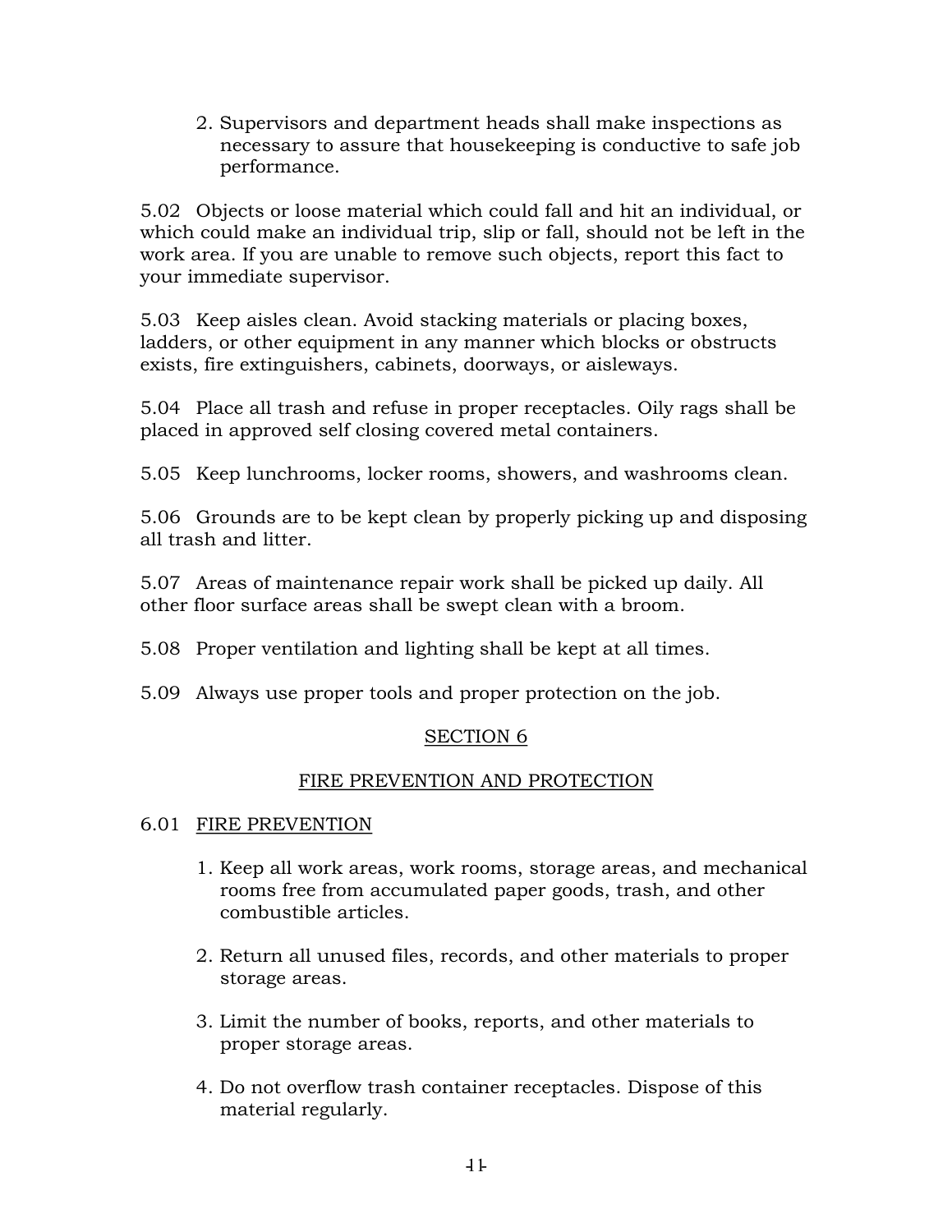2. Supervisors and department heads shall make inspections as necessary to assure that housekeeping is conductive to safe job performance.

5.02 Objects or loose material which could fall and hit an individual, or which could make an individual trip, slip or fall, should not be left in the work area. If you are unable to remove such objects, report this fact to your immediate supervisor.

5.03 Keep aisles clean. Avoid stacking materials or placing boxes, ladders, or other equipment in any manner which blocks or obstructs exists, fire extinguishers, cabinets, doorways, or aisleways.

5.04 Place all trash and refuse in proper receptacles. Oily rags shall be placed in approved self closing covered metal containers.

5.05 Keep lunchrooms, locker rooms, showers, and washrooms clean.

5.06 Grounds are to be kept clean by properly picking up and disposing all trash and litter.

5.07 Areas of maintenance repair work shall be picked up daily. All other floor surface areas shall be swept clean with a broom.

5.08 Proper ventilation and lighting shall be kept at all times.

5.09 Always use proper tools and proper protection on the job.

# SECTION 6

# FIRE PREVENTION AND PROTECTION

# 6.01 FIRE PREVENTION

- 1. Keep all work areas, work rooms, storage areas, and mechanical rooms free from accumulated paper goods, trash, and other combustible articles.
- 2. Return all unused files, records, and other materials to proper storage areas.
- 3. Limit the number of books, reports, and other materials to proper storage areas.
- 4. Do not overflow trash container receptacles. Dispose of this material regularly.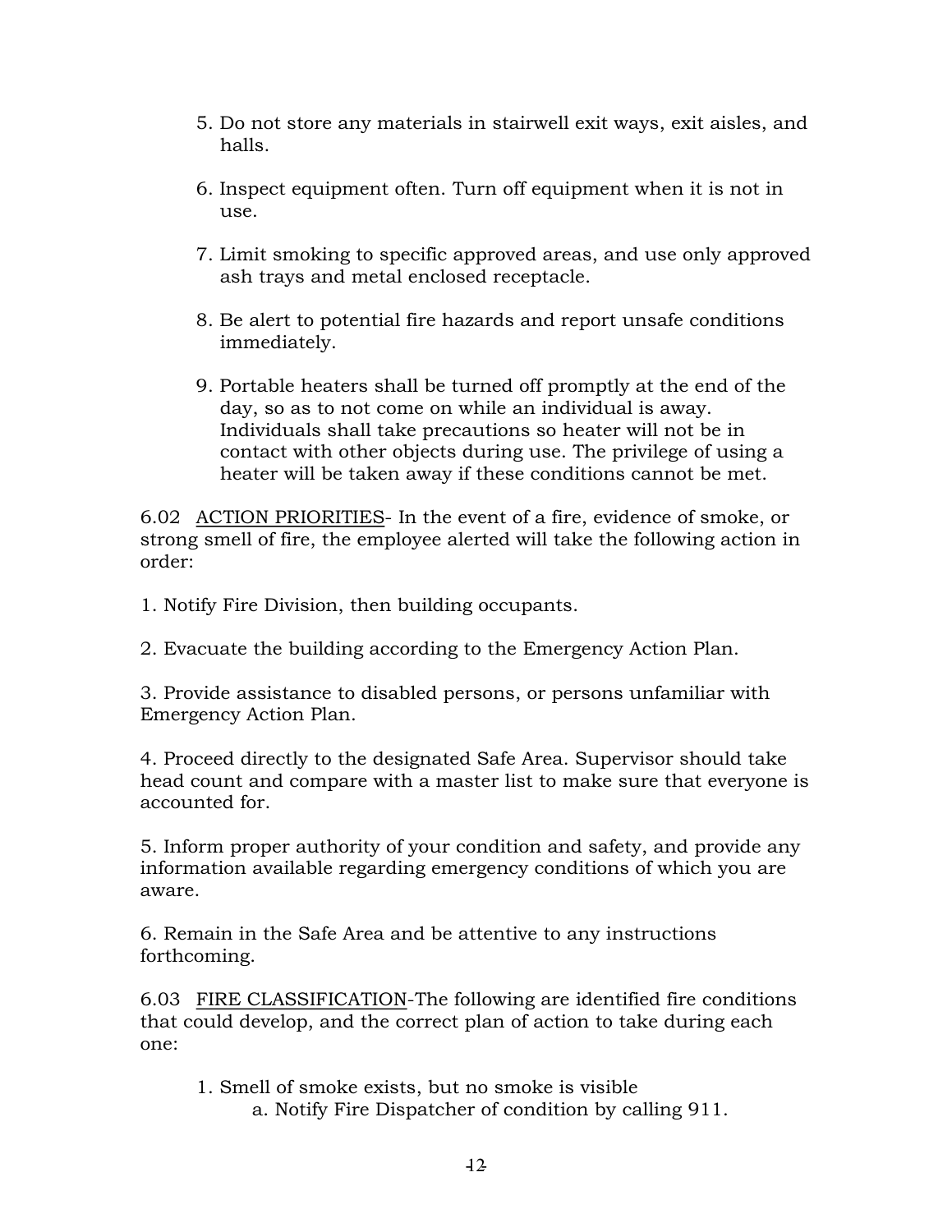- 5. Do not store any materials in stairwell exit ways, exit aisles, and halls.
- 6. Inspect equipment often. Turn off equipment when it is not in use.
- 7. Limit smoking to specific approved areas, and use only approved ash trays and metal enclosed receptacle.
- 8. Be alert to potential fire hazards and report unsafe conditions immediately.
- 9. Portable heaters shall be turned off promptly at the end of the day, so as to not come on while an individual is away. Individuals shall take precautions so heater will not be in contact with other objects during use. The privilege of using a heater will be taken away if these conditions cannot be met.

6.02 ACTION PRIORITIES- In the event of a fire, evidence of smoke, or strong smell of fire, the employee alerted will take the following action in order:

1. Notify Fire Division, then building occupants.

2. Evacuate the building according to the Emergency Action Plan.

3. Provide assistance to disabled persons, or persons unfamiliar with Emergency Action Plan.

4. Proceed directly to the designated Safe Area. Supervisor should take head count and compare with a master list to make sure that everyone is accounted for.

5. Inform proper authority of your condition and safety, and provide any information available regarding emergency conditions of which you are aware.

6. Remain in the Safe Area and be attentive to any instructions forthcoming.

6.03 FIRE CLASSIFICATION-The following are identified fire conditions that could develop, and the correct plan of action to take during each one:

1. Smell of smoke exists, but no smoke is visible a. Notify Fire Dispatcher of condition by calling 911.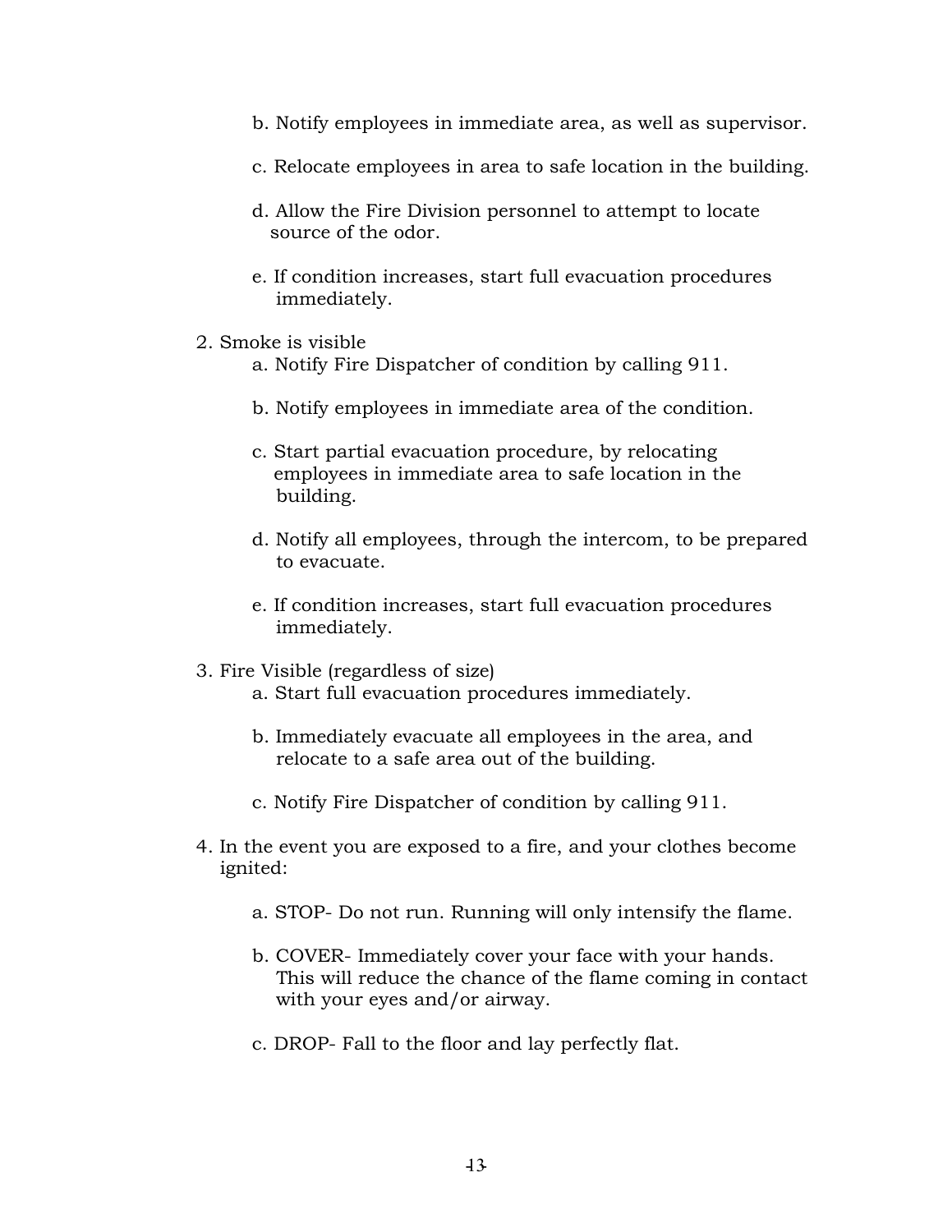- b. Notify employees in immediate area, as well as supervisor.
- c. Relocate employees in area to safe location in the building.
- d. Allow the Fire Division personnel to attempt to locate source of the odor.
- e. If condition increases, start full evacuation procedures immediately.
- 2. Smoke is visible
	- a. Notify Fire Dispatcher of condition by calling 911.
	- b. Notify employees in immediate area of the condition.
	- c. Start partial evacuation procedure, by relocating employees in immediate area to safe location in the building.
	- d. Notify all employees, through the intercom, to be prepared to evacuate.
	- e. If condition increases, start full evacuation procedures immediately.
- 3. Fire Visible (regardless of size)
	- a. Start full evacuation procedures immediately.
	- b. Immediately evacuate all employees in the area, and relocate to a safe area out of the building.
	- c. Notify Fire Dispatcher of condition by calling 911.
- 4. In the event you are exposed to a fire, and your clothes become ignited:
	- a. STOP- Do not run. Running will only intensify the flame.
	- b. COVER-Immediately cover your face with your hands. This will reduce the chance of the flame coming in contact with your eyes and/or airway.
	- c. DROP- Fall to the floor and lay perfectly flat.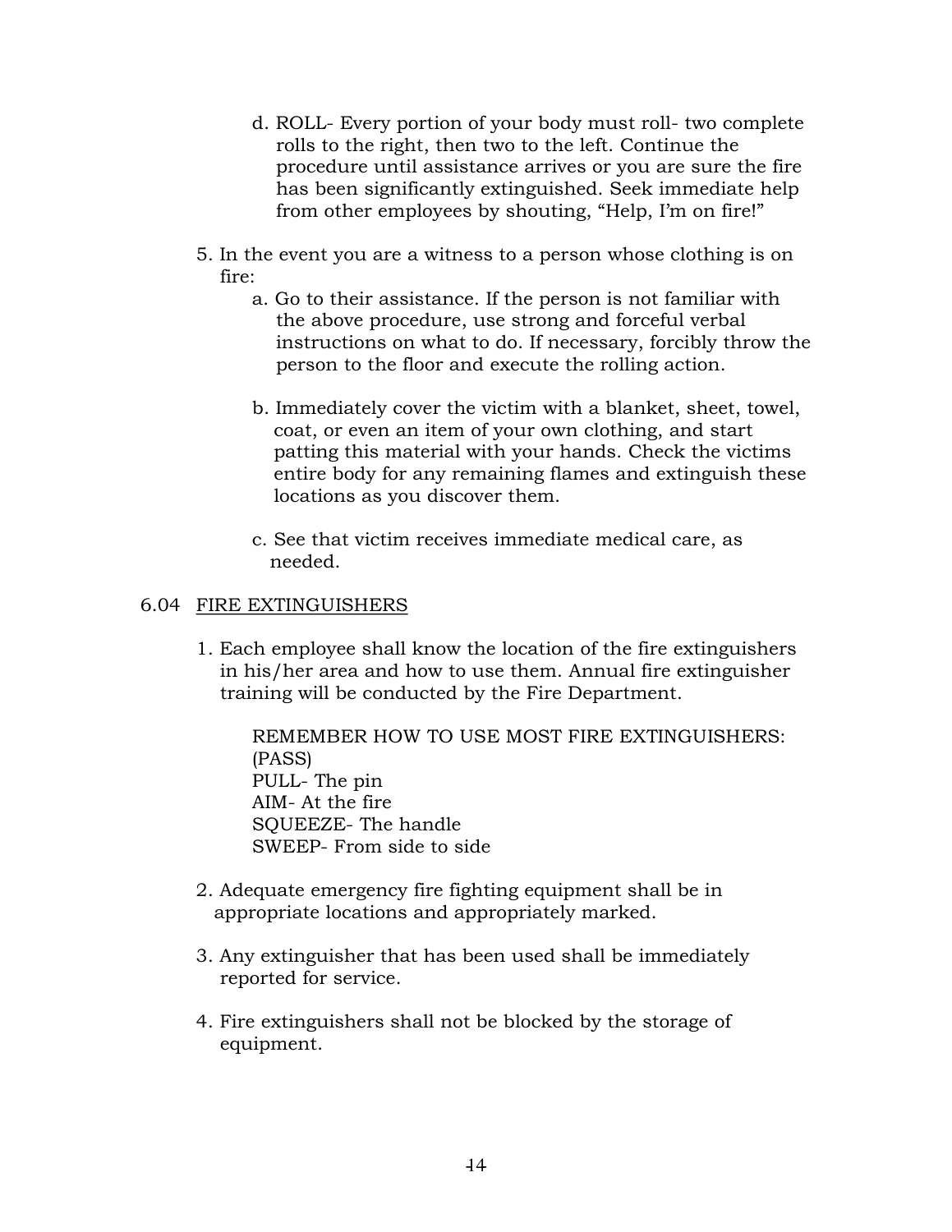- d. ROLL- Every portion of your body must roll- two complete rolls to the right, then two to the left. Continue the procedure until assistance arrives or you are sure the fire has been significantly extinguished. Seek immediate help from other employees by shouting, "Help, I'm on fire!"
- 5. In the event you are a witness to a person whose clothing is on fire:
	- a. Go to their assistance. If the person is not familiar with the above procedure, use strong and forceful verbal instructions on what to do. If necessary, forcibly throw the person to the floor and execute the rolling action.
	- b. Immediately cover the victim with a blanket, sheet, towel, coat, or even an item of your own clothing, and start patting this material with your hands. Check the victims entire body for any remaining flames and extinguish these locations as you discover them.
	- c. See that victim receives immediate medical care, as needed.

# 6.04 FIRE EXTINGUISHERS

1. Each employee shall know the location of the fire extinguishers in his/her area and how to use them. Annual fire extinguisher training will be conducted by the Fire Department.

REMEMBER HOW TO USE MOST FIRE EXTINGUISHERS: (PASS) PULL-The pin AIM-At the fire SOUEEZE-The handle SWEEP-From side to side

- 2. Adequate emergency fire fighting equipment shall be in appropriate locations and appropriately marked.
- 3. Any extinguisher that has been used shall be immediately reported for service.
- 4. Fire extinguishers shall not be blocked by the storage of equipment.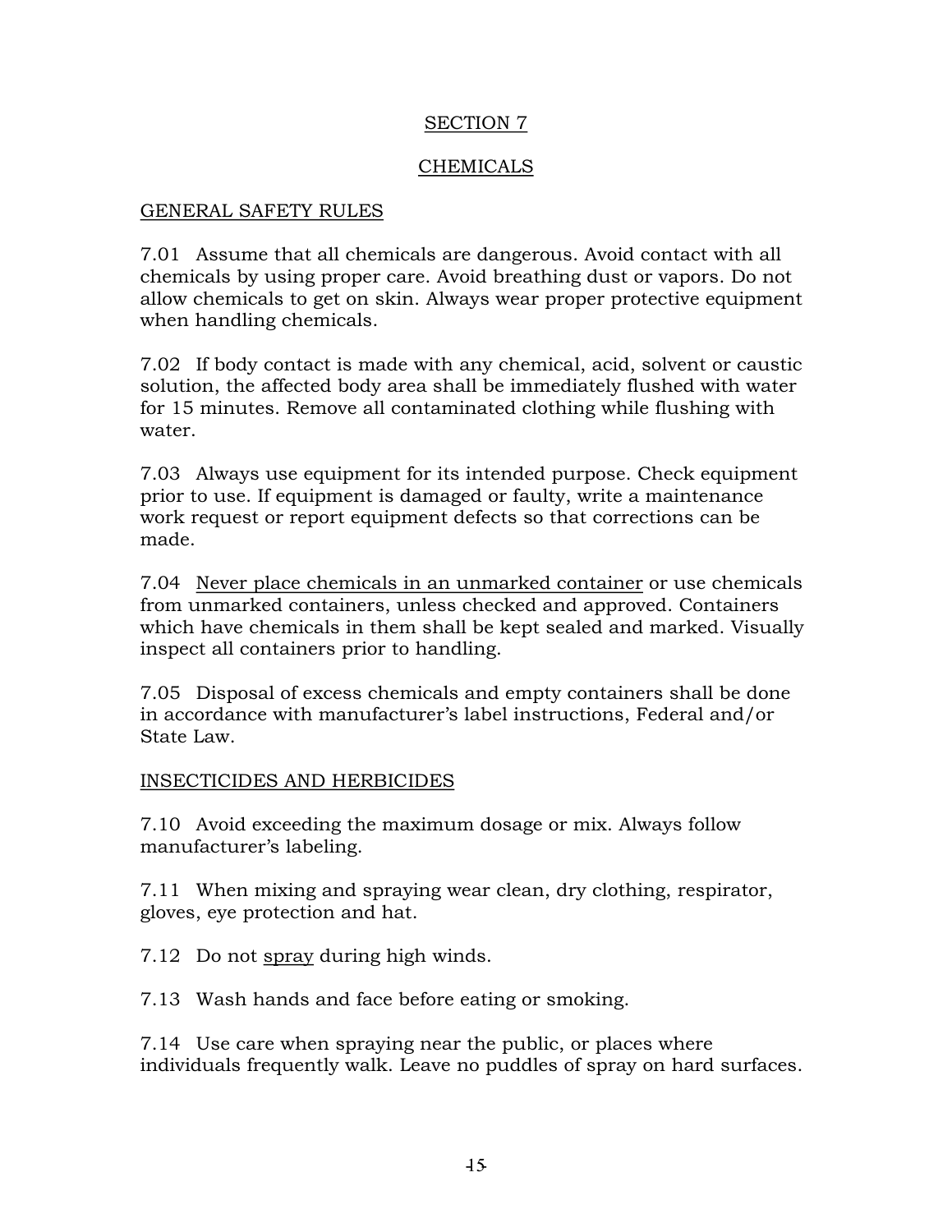# SECTION 7

# CHEMICALS

#### GENERAL SAFETY RULES

7.01 Assume that all chemicals are dangerous. Avoid contact with all chemicals by using proper care. Avoid breathing dust or vapors. Do not allow chemicals to get on skin. Always wear proper protective equipment when handling chemicals.

7.02 If body contact is made with any chemical, acid, solvent or caustic solution, the affected body area shall be immediately flushed with water for 15 minutes. Remove all contaminated clothing while flushing with water.

7.03 Always use equipment for its intended purpose. Check equipment prior to use. If equipment is damaged or faulty, write a maintenance work request or report equipment defects so that corrections can be made.

7.04 Never place chemicals in an unmarked container or use chemicals from unmarked containers, unless checked and approved. Containers which have chemicals in them shall be kept sealed and marked. Visually inspect all containers prior to handling.

7.05 Disposal of excess chemicals and empty containers shall be done in accordance with manufacturer's label instructions, Federal and/or State Law.

# INSECTICIDES AND HERBICIDES

7.10 Avoid exceeding the maximum dosage or mix. Always follow manufacturer's labeling.

7.11 When mixing and spraying wear clean, dry clothing, respirator, gloves, eye protection and hat.

7.12 Do not spray during high winds.

7.13 Wash hands and face before eating or smoking.

7.14 Use care when spraying near the public, or places where individuals frequently walk. Leave no puddles of spray on hard surfaces.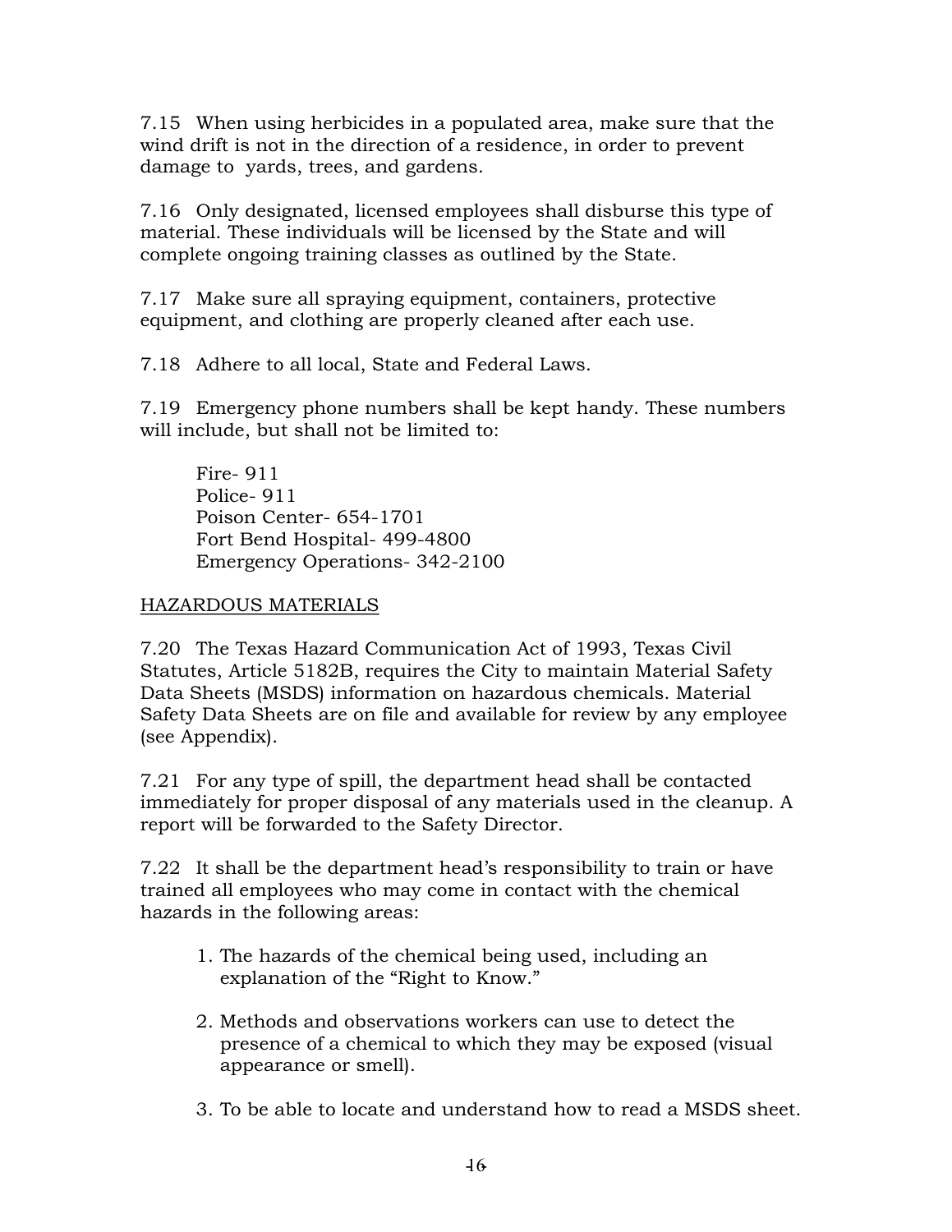7.15 When using herbicides in a populated area, make sure that the wind drift is not in the direction of a residence, in order to prevent damage to yards, trees, and gardens.

7.16 Only designated, licensed employees shall disburse this type of material. These individuals will be licensed by the State and will complete ongoing training classes as outlined by the State.

7.17 Make sure all spraying equipment, containers, protective equipment, and clothing are properly cleaned after each use.

7.18 Adhere to all local, State and Federal Laws.

7.19 Emergency phone numbers shall be kept handy. These numbers will include, but shall not be limited to:

Fire - 911 Police - 911 Poison Center-654-1701 Fort Bend Hospital- 499-4800 Emergency Operations - 342-2100

# HAZARDOUS MATERIALS

7.20 The Texas Hazard Communication Act of 1993, Texas Civil Statutes, Article 5182B, requires the City to maintain Material Safety Data Sheets (MSDS) information on hazardous chemicals. Material Safety Data Sheets are on file and available for review by any employee (see Appendix).

7.21 For any type of spill, the department head shall be contacted immediately for proper disposal of any materials used in the cleanup. A report will be forwarded to the Safety Director.

7.22 It shall be the department head's responsibility to train or have trained all employees who may come in contact with the chemical hazards in the following areas:

- 1. The hazards of the chemical being used, including an explanation of the "Right to Know."
- 2. Methods and observations workers can use to detect the presence of a chemical to which they may be exposed (visual appearance or smell).
- 3. To be able to locate and understand how to read a MSDS sheet.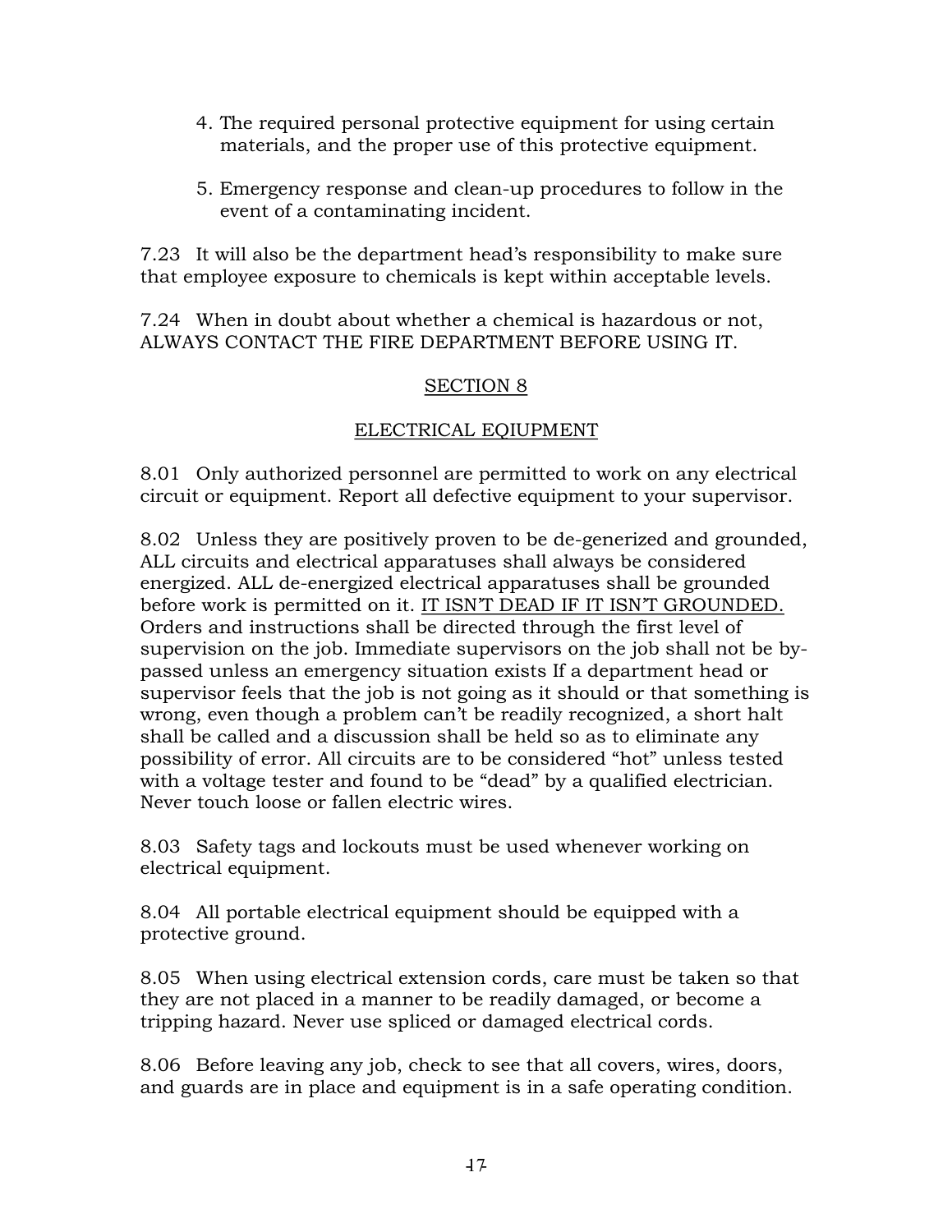- 4. The required personal protective equipment for using certain materials, and the proper use of this protective equipment.
- 5. Emergency response and clean-up procedures to follow in the event of a contaminating incident.

7.23 It will also be the department head's responsibility to make sure that employee exposure to chemicals is kept within acceptable levels.

7.24 When in doubt about whether a chemical is hazardous or not, ALWAYS CONTACT THE FIRE DEPARTMENT BEFORE USING IT.

# SECTION 8

# ELECTRICAL EQIUPMENT

8.01 Only authorized personnel are permitted to work on any electrical circuit or equipment. Report all defective equipment to your supervisor.

8.02 Unless they are positively proven to be de-generized and grounded, ALL circuits and electrical apparatuses shall always be considered energized. ALL de-energized electrical apparatuses shall be grounded before work is permitted on it. IT ISN'T DEAD IF IT ISN'T GROUNDED. Orders and instructions shall be directed through the first level of supervision on the job. Immediate supervisors on the job shall not be bypassed unless an emergency situation exists If a department head or supervisor feels that the job is not going as it should or that something is wrong, even though a problem can't be readily recognized, a short halt shall be called and a discussion shall be held so as to eliminate any possibility of error. All circuits are to be considered "hot" unless tested with a voltage tester and found to be "dead" by a qualified electrician. Never touch loose or fallen electric wires.

8.03 Safety tags and lockouts must be used whenever working on electrical equipment.

8.04 All portable electrical equipment should be equipped with a protective ground.

8.05 When using electrical extension cords, care must be taken so that they are not placed in a manner to be readily damaged, or become a tripping hazard. Never use spliced or damaged electrical cords.

8.06 Before leaving any job, check to see that all covers, wires, doors, and guards are in place and equipment is in a safe operating condition.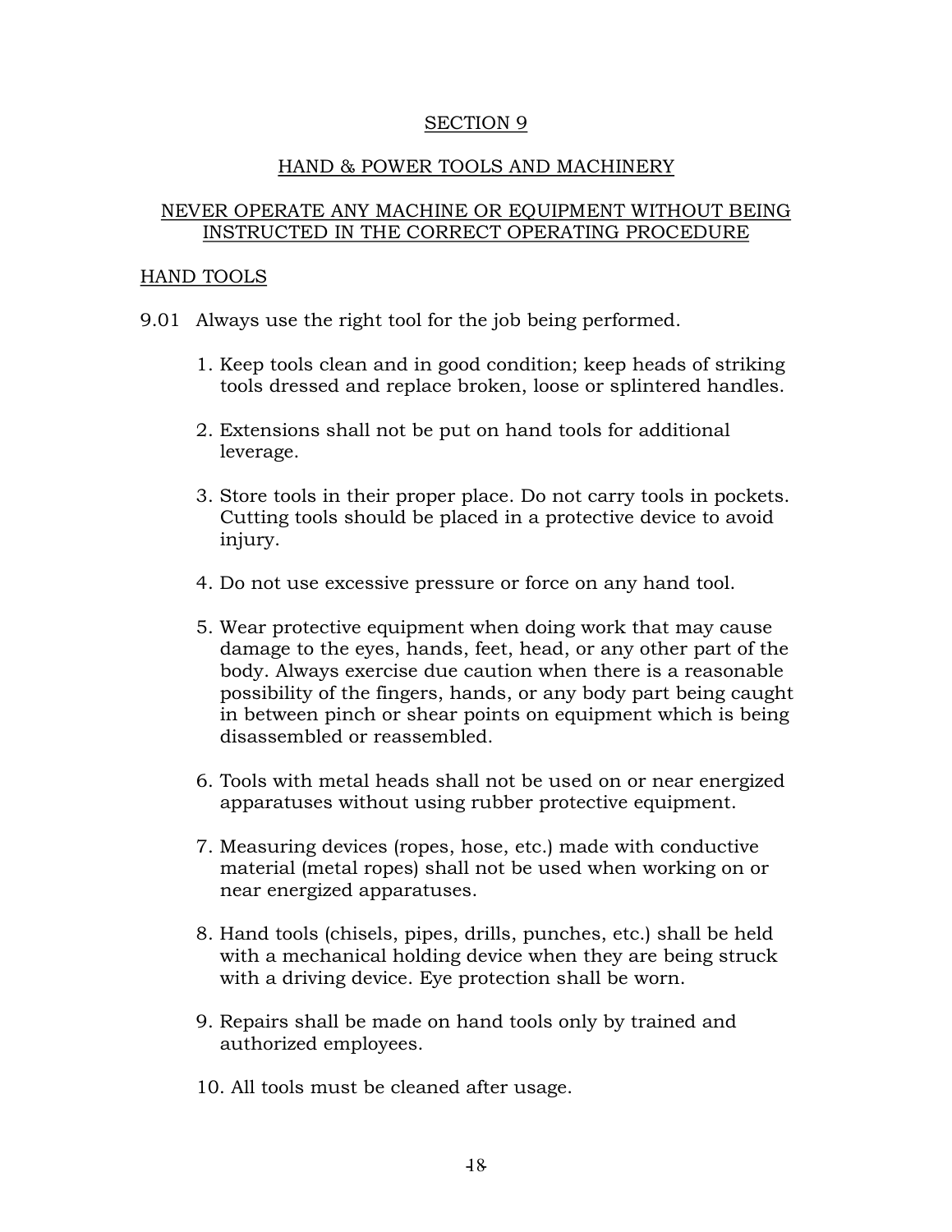#### SECTION 9

# HAND & POWER TOOLS AND MACHINERY

#### NEVER OPERATE ANY MACHINE OR EQUIPMENT WITHOUT BEING INSTRUCTED IN THE CORRECT OPERATING PROCEDURE

#### HAND TOOLS

- 9.01 Always use the right tool for the job being performed.
	- 1. Keep tools clean and in good condition; keep heads of striking tools dressed and replace broken, loose or splintered handles.
	- 2. Extensions shall not be put on hand tools for additional leverage.
	- 3. Store tools in their proper place. Do not carry tools in pockets. Cutting tools should be placed in a protective device to avoid injury.
	- 4. Do not use excessive pressure or force on any hand tool.
	- 5. Wear protective equipment when doing work that may cause damage to the eyes, hands, feet, head, or any other part of the body. Always exercise due caution when there is a reasonable possibility of the fingers, hands, or any body part being caught in between pinch or shear points on equipment which is being disassembled or reassembled.
	- 6. Tools with metal heads shall not be used on or near energized apparatuses without using rubber protective equipment.
	- 7. Measuring devices (ropes, hose, etc.) made with conductive material (metal ropes) shall not be used when working on or near energized apparatuses.
	- 8. Hand tools (chisels, pipes, drills, punches, etc.) shall be held with a mechanical holding device when they are being struck with a driving device. Eye protection shall be worn.
	- 9. Repairs shall be made on hand tools only by trained and authorized employees.
	- 10. All tools must be cleaned after usage.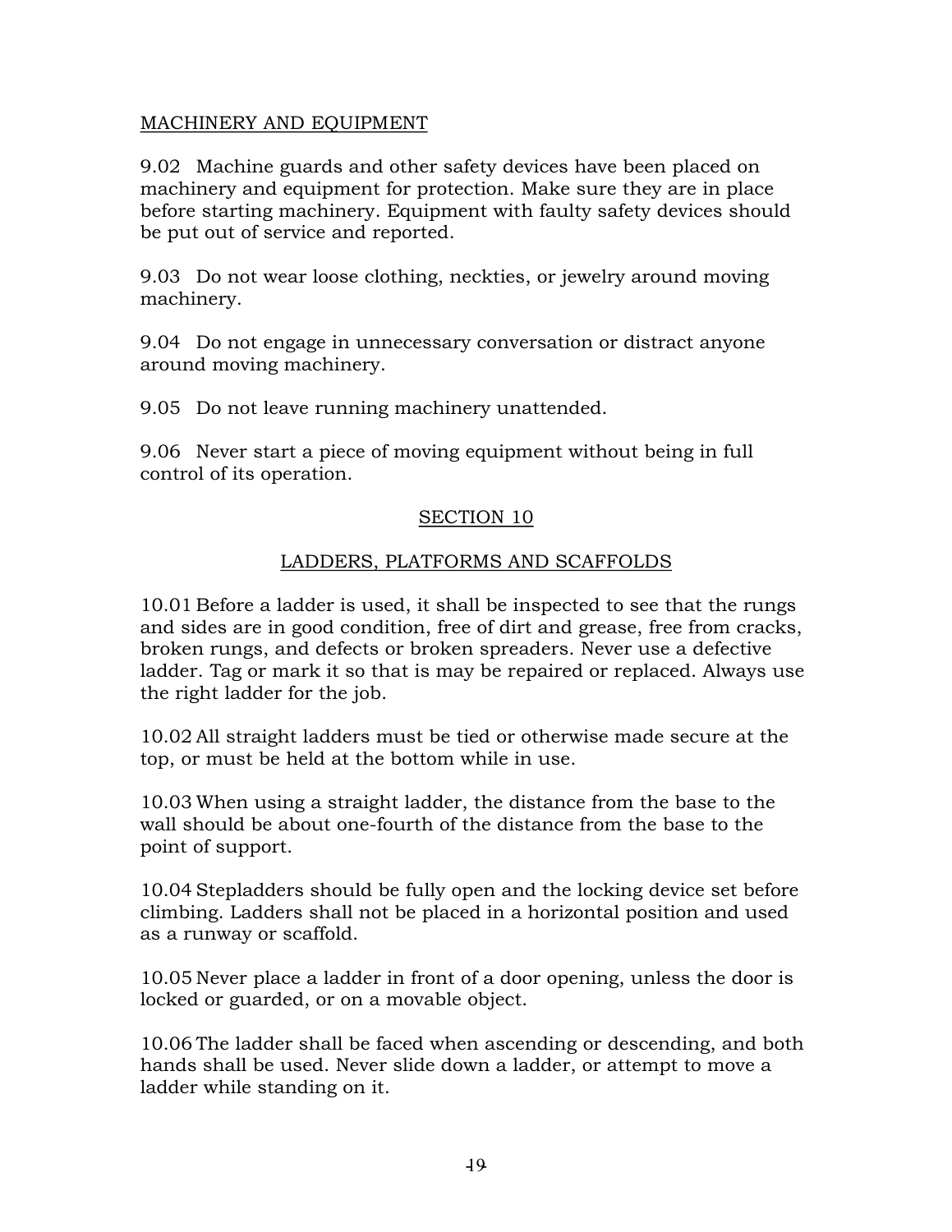# MACHINERY AND EQUIPMENT

9.02 Machine guards and other safety devices have been placed on machinery and equipment for protection. Make sure they are in place before starting machinery. Equipment with faulty safety devices should be put out of service and reported.

9.03 Do not wear loose clothing, neckties, or jewelry around moving machinery.

9.04 Do not engage in unnecessary conversation or distract anyone around moving machinery.

9.05 Do not leave running machinery unattended.

9.06 Never start a piece of moving equipment without being in full control of its operation.

# SECTION 10

# LADDERS, PLATFORMS AND SCAFFOLDS

10.01 Before a ladder is used, it shall be inspected to see that the rungs and sides are in good condition, free of dirt and grease, free from cracks, broken rungs, and defects or broken spreaders. Never use a defective ladder. Tag or mark it so that is may be repaired or replaced. Always use the right ladder for the job.

10.02 All straight ladders must be tied or otherwise made secure at the top, or must be held at the bottom while in use.

10.03 When using a straight ladder, the distance from the base to the wall should be about one-fourth of the distance from the base to the point of support.

10.04 Stepladders should be fully open and the locking device set before climbing. Ladders shall not be placed in a horizontal position and used as a runway or scaffold.

10.05 Never place a ladder in front of a door opening, unless the door is locked or guarded, or on a movable object.

10.06 The ladder shall be faced when ascending or descending, and both hands shall be used. Never slide down a ladder, or attempt to move a ladder while standing on it.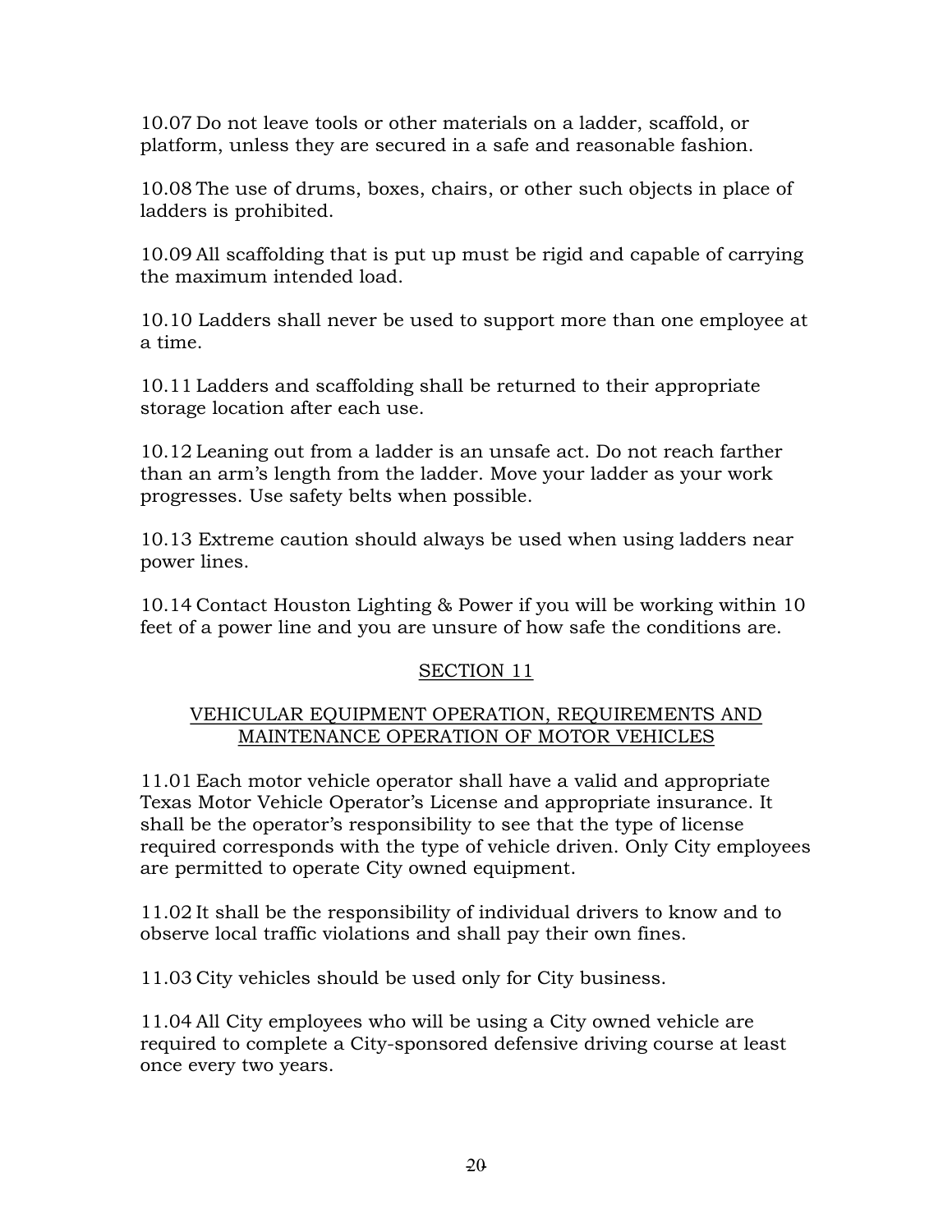10.07 Do not leave tools or other materials on a ladder, scaffold, or platform, unless they are secured in a safe and reasonable fashion.

10.08 The use of drums, boxes, chairs, or other such objects in place of ladders is prohibited.

10.09 All scaffolding that is put up must be rigid and capable of carrying the maximum intended load.

10.10 Ladders shall never be used to support more than one employee at a time.

10.11 Ladders and scaffolding shall be returned to their appropriate storage location after each use.

10.12 Leaning out from a ladder is an unsafe act. Do not reach farther than an arm's length from the ladder. Move your ladder as your work progresses. Use safety belts when possible.

10.13 Extreme caution should always be used when using ladders near power lines.

10.14 Contact Houston Lighting & Power if you will be working within 10 feet of a power line and you are unsure of how safe the conditions are.

# SECTION 11

# VEHICULAR EQUIPMENT OPERATION, REQUIREMENTS AND MAINTENANCE OPERATION OF MOTOR VEHICLES

11.01 Each motor vehicle operator shall have a valid and appropriate Texas Motor Vehicle Operator's License and appropriate insurance. It shall be the operator's responsibility to see that the type of license required corresponds with the type of vehicle driven. Only City employees are permitted to operate City owned equipment.

11.02 It shall be the responsibility of individual drivers to know and to observe local traffic violations and shall pay their own fines.

11.03 City vehicles should be used only for City business.

11.04 All City employees who will be using a City owned vehicle are required to complete a City-sponsored defensive driving course at least once every two years.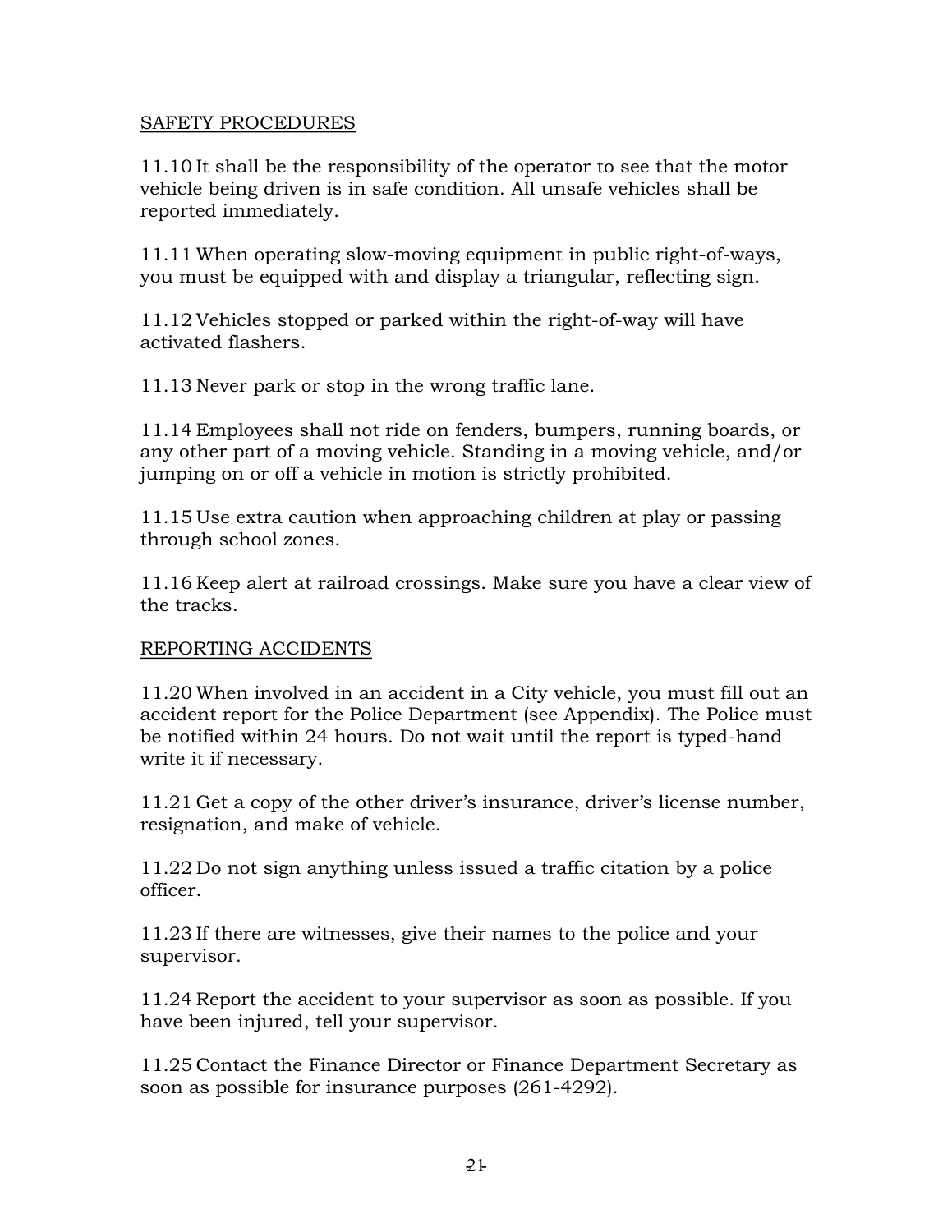# SAFETY PROCEDURES

11.10 It shall be the responsibility of the operator to see that the motor vehicle being driven is in safe condition. All unsafe vehicles shall be reported immediately.

 $11.11$  When operating slow-moving equipment in public right-of-ways, you must be equipped with and display a triangular, reflecting sign.

 $11.12$  Vehicles stopped or parked within the right-of-way will have activated flashers.

11.13 Never park or stop in the wrong traffic lane.

11.14 Employees shall not ride on fenders, bumpers, running boards, or any other part of a moving vehicle. Standing in a moving vehicle, and/or jumping on or off a vehicle in motion is strictly prohibited.

11.15 Use extra caution when approaching children at play or passing through school zones.

11.16 Keep alert at railroad crossings. Make sure you have a clear view of the tracks.

# REPORTING ACCIDENTS

11.20 When involved in an accident in a City vehicle, you must fill out an accident report for the Police Department (see Appendix). The Police must be notified within 24 hours. Do not wait until the report is typed-hand write it if necessary.

11.21 Get a copy of the other driver's insurance, driver's license number, resignation, and make of vehicle.

11.22 Do not sign anything unless issued a traffic citation by a police officer.

11.23 If there are witnesses, give their names to the police and your supervisor.

11.24 Report the accident to your supervisor as soon as possible. If you have been injured, tell your supervisor.

11.25 Contact the Finance Director or Finance Department Secretary as soon as possible for insurance purposes (261-4292).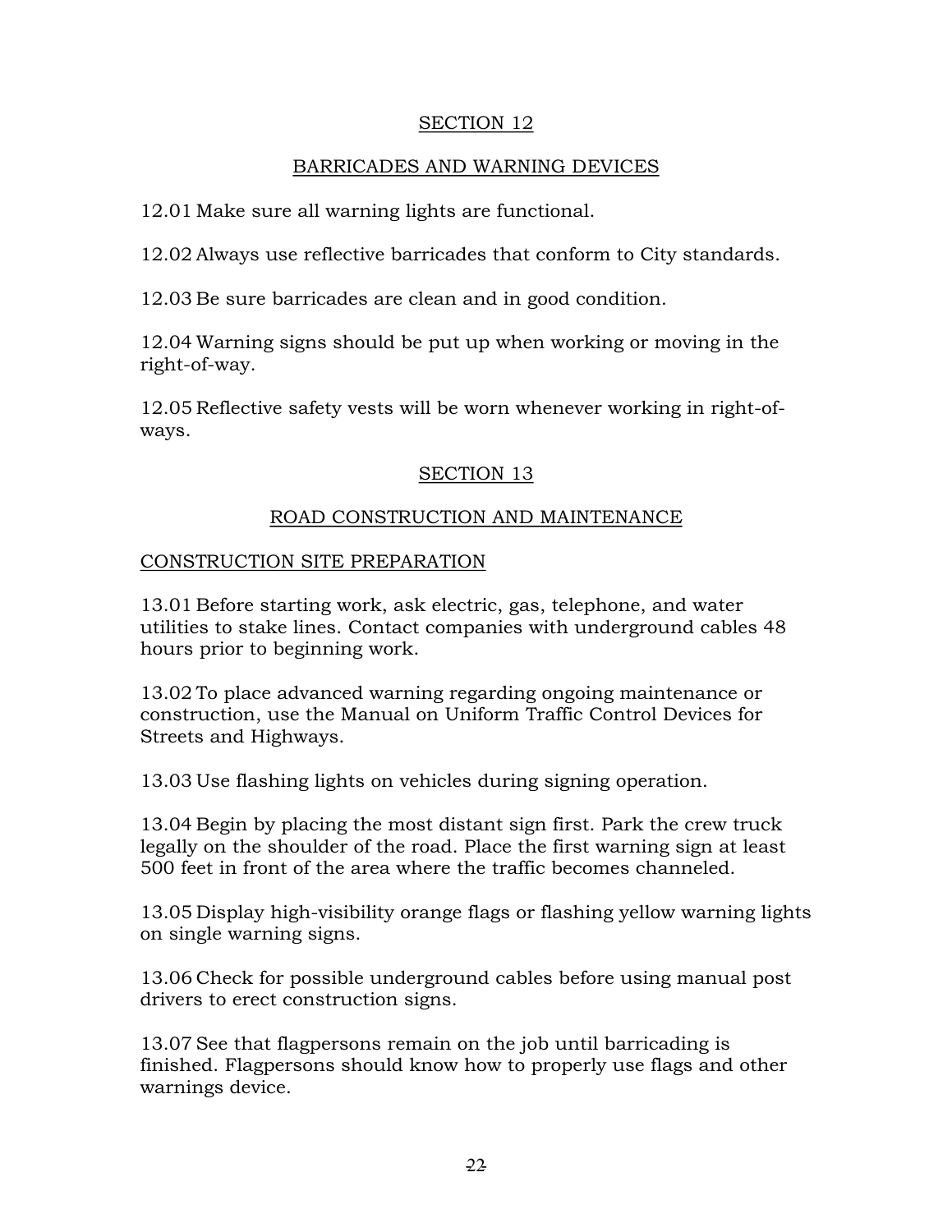#### SECTION 12

# BARRICADES AND WARNING DEVICES

12.01 Make sure all warning lights are functional.

12.02 Always use reflective barricades that conform to City standards.

12.03 Be sure barricades are clean and in good condition.

12.04 Warning signs should be put up when working or moving in the right-of-way.

12.05 Reflective safety vests will be worn whenever working in right-ofways.

# SECTION 13

# ROAD CONSTRUCTION AND MAINTENANCE

#### CONSTRUCTION SITE PREPARATION

13.01 Before starting work, ask electric, gas, telephone, and water utilities to stake lines. Contact companies with underground cables 48 hours prior to beginning work.

13.02 To place advanced warning regarding ongoing maintenance or construction, use the Manual on Uniform Traffic Control Devices for Streets and Highways.

13.03 Use flashing lights on vehicles during signing operation.

13.04 Begin by placing the most distant sign first. Park the crew truck legally on the shoulder of the road. Place the first warning sign at least 500 feet in front of the area where the traffic becomes channeled.

13.05 Display high-visibility orange flags or flashing yellow warning lights on single warning signs.

13.06 Check for possible underground cables before using manual post drivers to erect construction signs.

13.07 See that flagpersons remain on the job until barricading is finished. Flagpersons should know how to properly use flags and other warnings device.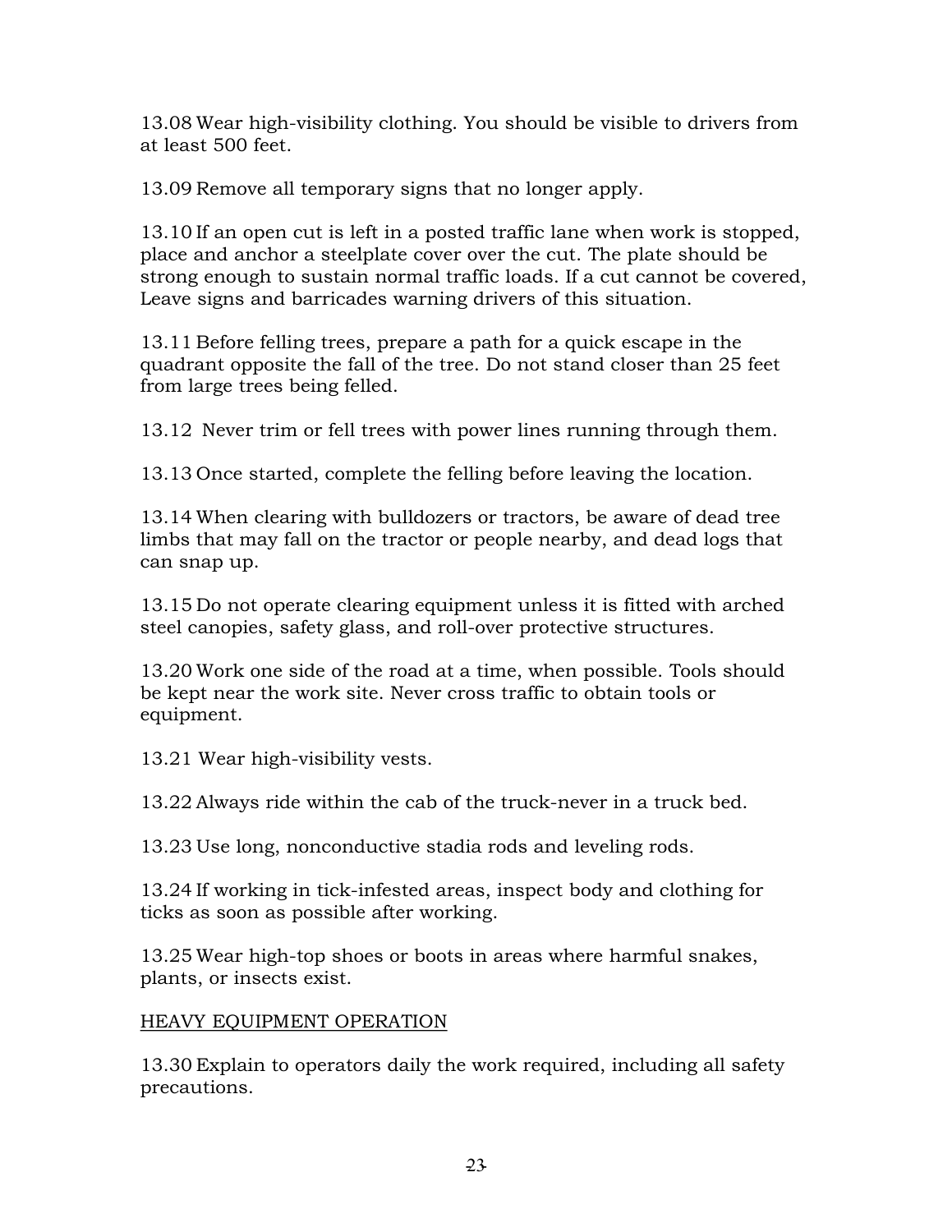13.08 Wear high-visibility clothing. You should be visible to drivers from at least 500 feet.

13.09 Remove all temporary signs that no longer apply.

13.10 If an open cut is left in a posted traffic lane when work is stopped, place and anchor a steelplate cover over the cut. The plate should be strong enough to sustain normal traffic loads. If a cut cannot be covered, Leave signs and barricades warning drivers of this situation.

13.11 Before felling trees, prepare a path for a quick escape in the quadrant opposite the fall of the tree. Do not stand closer than 25 feet from large trees being felled.

13.12 Never trim or fell trees with power lines running through them.

13.13 Once started, complete the felling before leaving the location.

13.14 When clearing with bulldozers or tractors, be aware of dead tree limbs that may fall on the tractor or people nearby, and dead logs that can snap up.

13.15 Do not operate clearing equipment unless it is fitted with arched steel canopies, safety glass, and roll-over protective structures.

13.20 Work one side of the road at a time, when possible. Tools should be kept near the work site. Never cross traffic to obtain tools or equipment.

13.21 Wear high-visibility vests.

13.22 Always ride within the cab of the truck-never in a truck bed.

13.23 Use long, nonconductive stadia rods and leveling rods.

13.24 If working in tick-infested areas, inspect body and clothing for ticks as soon as possible after working.

13.25 Wear high-top shoes or boots in areas where harmful snakes, plants, or insects exist.

# HEAVY EQUIPMENT OPERATION

13.30 Explain to operators daily the work required, including all safety precautions.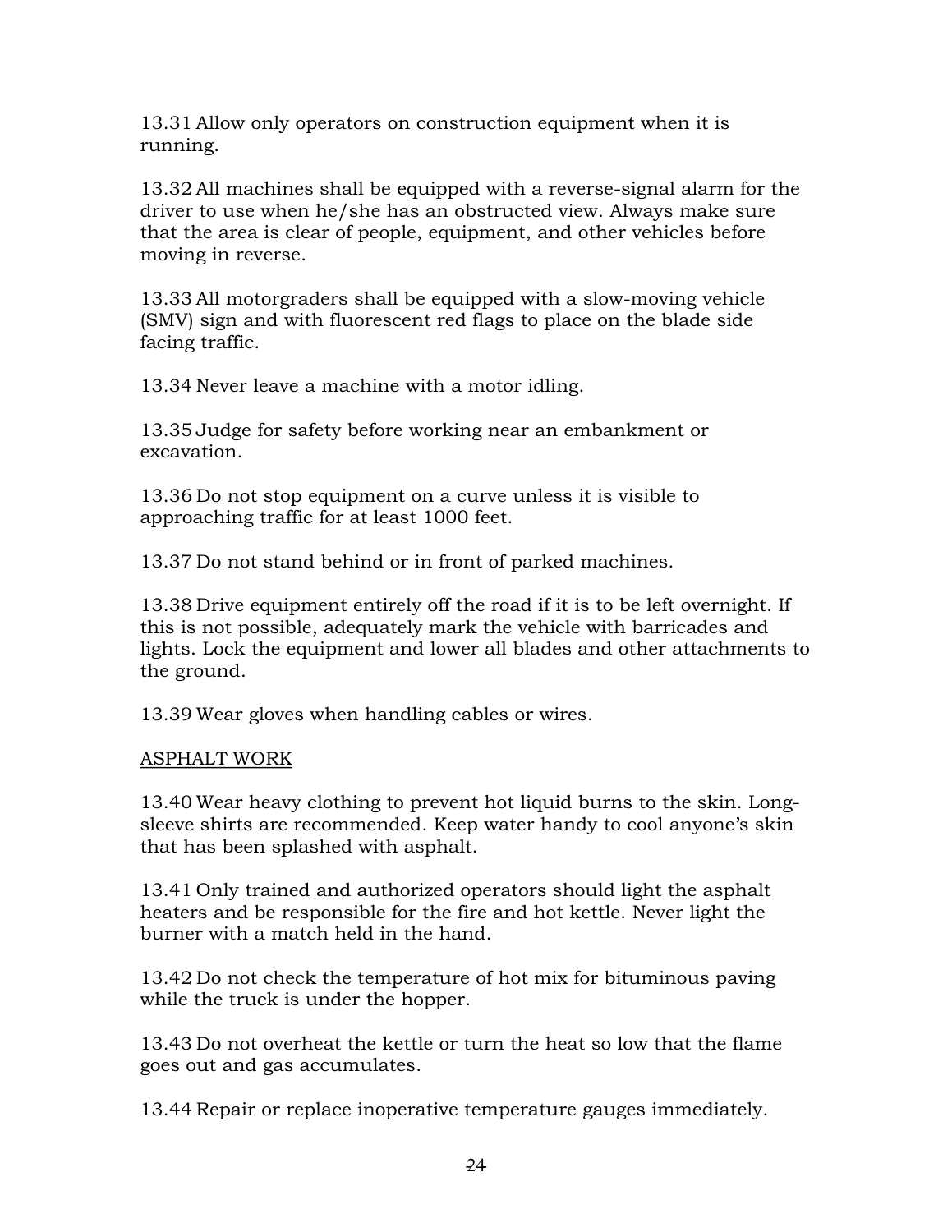13.31 Allow only operators on construction equipment when it is running.

13.32 All machines shall be equipped with a reversesignal alarm for the driver to use when he/she has an obstructed view. Always make sure that the area is clear of people, equipment, and other vehicles before moving in reverse.

13.33 All motorgraders shall be equipped with a slow-moving vehicle (SMV) sign and with fluorescent red flags to place on the blade side facing traffic.

13.34 Never leave a machine with a motor idling.

13.35 Judge for safety before working near an embankment or excavation.

13.36 Do not stop equipment on a curve unless it is visible to approaching traffic for at least 1000 feet.

13.37 Do not stand behind or in front of parked machines.

13.38 Drive equipment entirely off the road if it is to be left overnight. If this is not possible, adequately mark the vehicle with barricades and lights. Lock the equipment and lower all blades and other attachments to the ground.

13.39 Wear gloves when handling cables or wires.

# ASPHALT WORK

13.40 Wear heavy clothing to prevent hot liquid burns to the skin. Longsleeve shirts are recommended. Keep water handy to cool anyone's skin that has been splashed with asphalt.

13.41 Only trained and authorized operators should light the asphalt heaters and be responsible for the fire and hot kettle. Never light the burner with a match held in the hand.

13.42 Do not check the temperature of hot mix for bituminous paving while the truck is under the hopper.

13.43 Do not overheat the kettle or turn the heat so low that the flame goes out and gas accumulates.

13.44 Repair or replace inoperative temperature gauges immediately.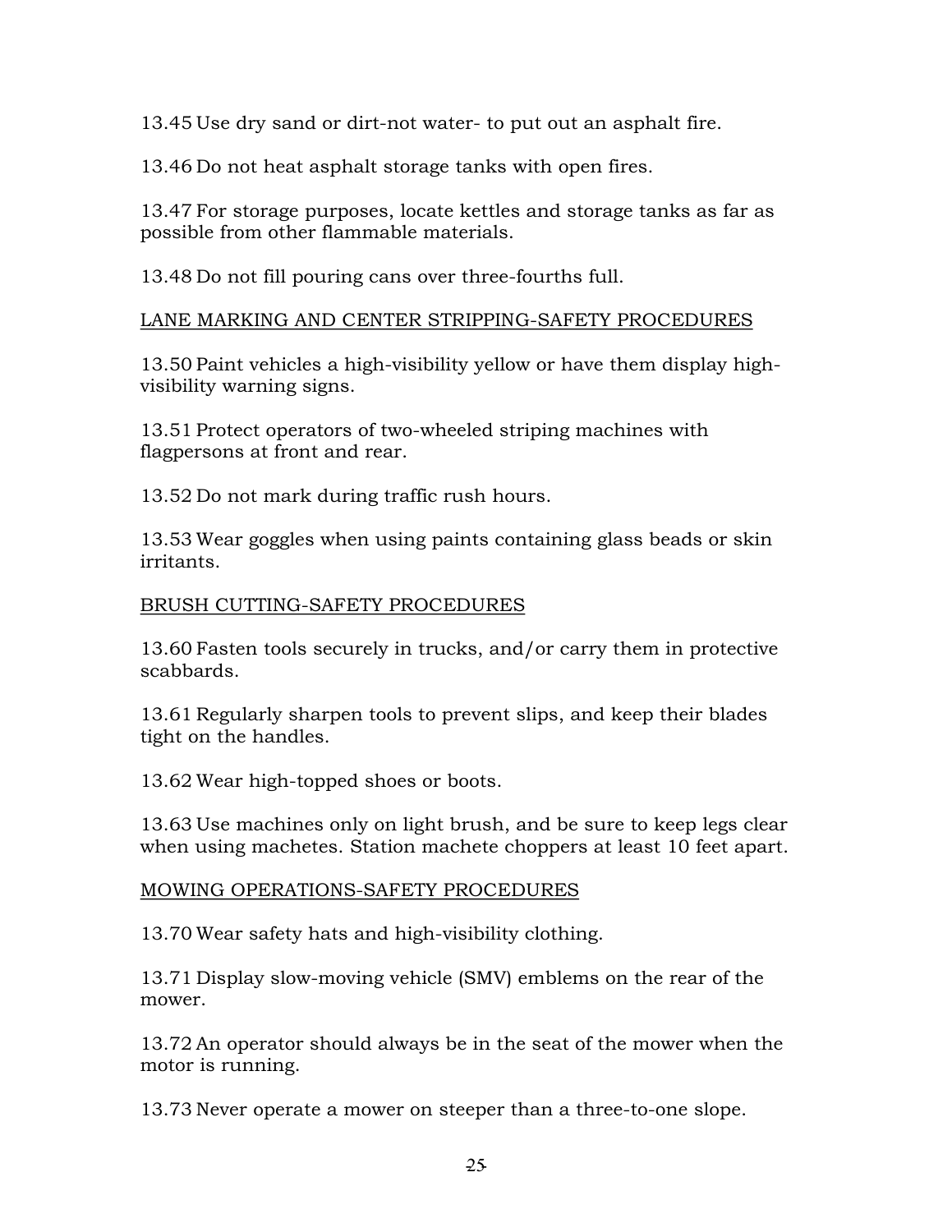13.45 Use dry sand or dirt-not water- to put out an asphalt fire.

13.46 Do not heat asphalt storage tanks with open fires.

13.47 For storage purposes, locate kettles and storage tanks as far as possible from other flammable materials.

13.48 Do not fill pouring cans over three-fourths full.

# LANE MARKING AND CENTER STRIPPING-SAFETY PROCEDURES

13.50 Paint vehicles a high-visibility yellow or have them display highvisibility warning signs.

13.51 Protect operators of two-wheeled striping machines with flagpersons at front and rear.

13.52 Do not mark during traffic rush hours.

13.53 Wear goggles when using paints containing glass beads or skin irritants.

# BRUSH CUTTING-SAFETY PROCEDURES

13.60 Fasten tools securely in trucks, and/or carry them in protective scabbards.

13.61 Regularly sharpen tools to prevent slips, and keep their blades tight on the handles.

13.62 Wear high-topped shoes or boots.

13.63 Use machines only on light brush, and be sure to keep legs clear when using machetes. Station machete choppers at least 10 feet apart.

# MOWING OPERATIONS-SAFETY PROCEDURES

13.70 Wear safety hats and high-visibility clothing.

13.71 Display slow-moving vehicle (SMV) emblems on the rear of the mower.

13.72 An operator should always be in the seat of the mower when the motor is running.

13.73 Never operate a mower on steeper than a three-to-one slope.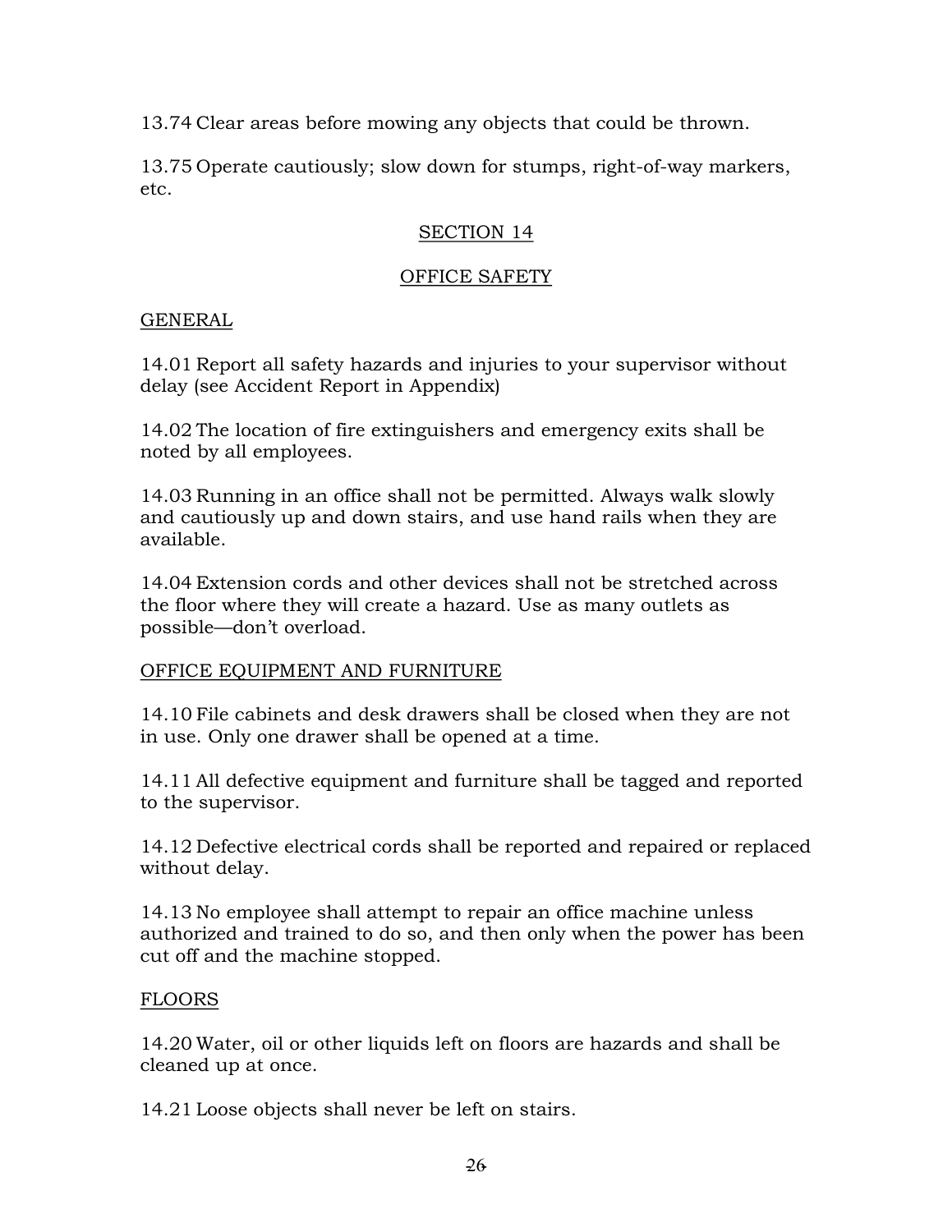13.74 Clear areas before mowing any objects that could be thrown.

13.75 Operate cautiously; slow down for stumps, right-of-way markers, etc.

# SECTION 14

# OFFICE SAFETY

# GENERAL

14.01 Report all safety hazards and injuries to your supervisor without delay (see Accident Report in Appendix)

14.02 The location of fire extinguishers and emergency exits shall be noted by all employees.

14.03 Running in an office shall not be permitted. Always walk slowly and cautiously up and down stairs, and use hand rails when they are available.

14.04 Extension cords and other devices shall not be stretched across the floor where they will create a hazard. Use as many outlets as possible—don't overload.

# OFFICE EQUIPMENT AND FURNITURE

14.10 File cabinets and desk drawers shall be closed when they are not in use. Only one drawer shall be opened at a time.

14.11 All defective equipment and furniture shall be tagged and reported to the supervisor.

14.12 Defective electrical cords shall be reported and repaired or replaced without delay.

14.13 No employee shall attempt to repair an office machine unless authorized and trained to do so, and then only when the power has been cut off and the machine stopped.

# FLOORS

14.20 Water, oil or other liquids left on floors are hazards and shall be cleaned up at once.

14.21 Loose objects shall never be left on stairs.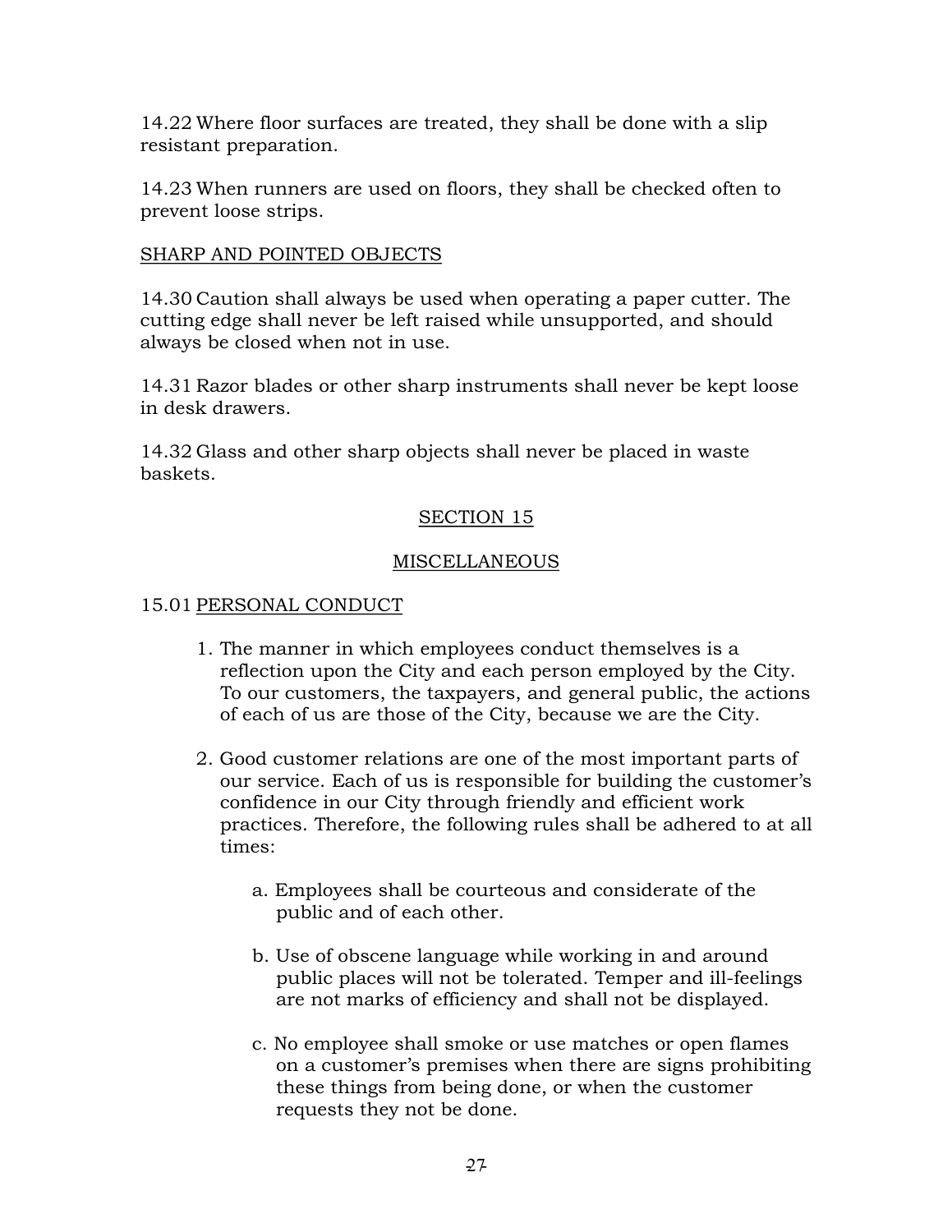14.22 Where floor surfaces are treated, they shall be done with a slip resistant preparation.

14.23 When runners are used on floors, they shall be checked often to prevent loose strips.

# SHARP AND POINTED OBJECTS

14.30 Caution shall always be used when operating a paper cutter. The cutting edge shall never be left raised while unsupported, and should always be closed when not in use.

14.31 Razor blades or other sharp instruments shall never be kept loose in desk drawers.

14.32 Glass and other sharp objects shall never be placed in waste baskets.

# SECTION 15

# MISCELLANEOUS

# 15.01 PERSONAL CONDUCT

- 1. The manner in which employees conduct themselves is a reflection upon the City and each person employed by the City. To our customers, the taxpayers, and general public, the actions of each of us are those of the City, because we are the City.
- 2. Good customer relations are one of the most important parts of our service. Each of us is responsible for building the customer's confidence in our City through friendly and efficient work practices. Therefore, the following rules shall be adhered to at all times:
	- a. Employees shall be courteous and considerate of the public and of each other.
	- b. Use of obscene language while working in and around public places will not be tolerated. Temper and ill-feelings are not marks of efficiency and shall not be displayed.
	- c. No employee shall smoke or use matches or open flames on a customer's premises when there are signs prohibiting these things from being done, or when the customer requests they not be done.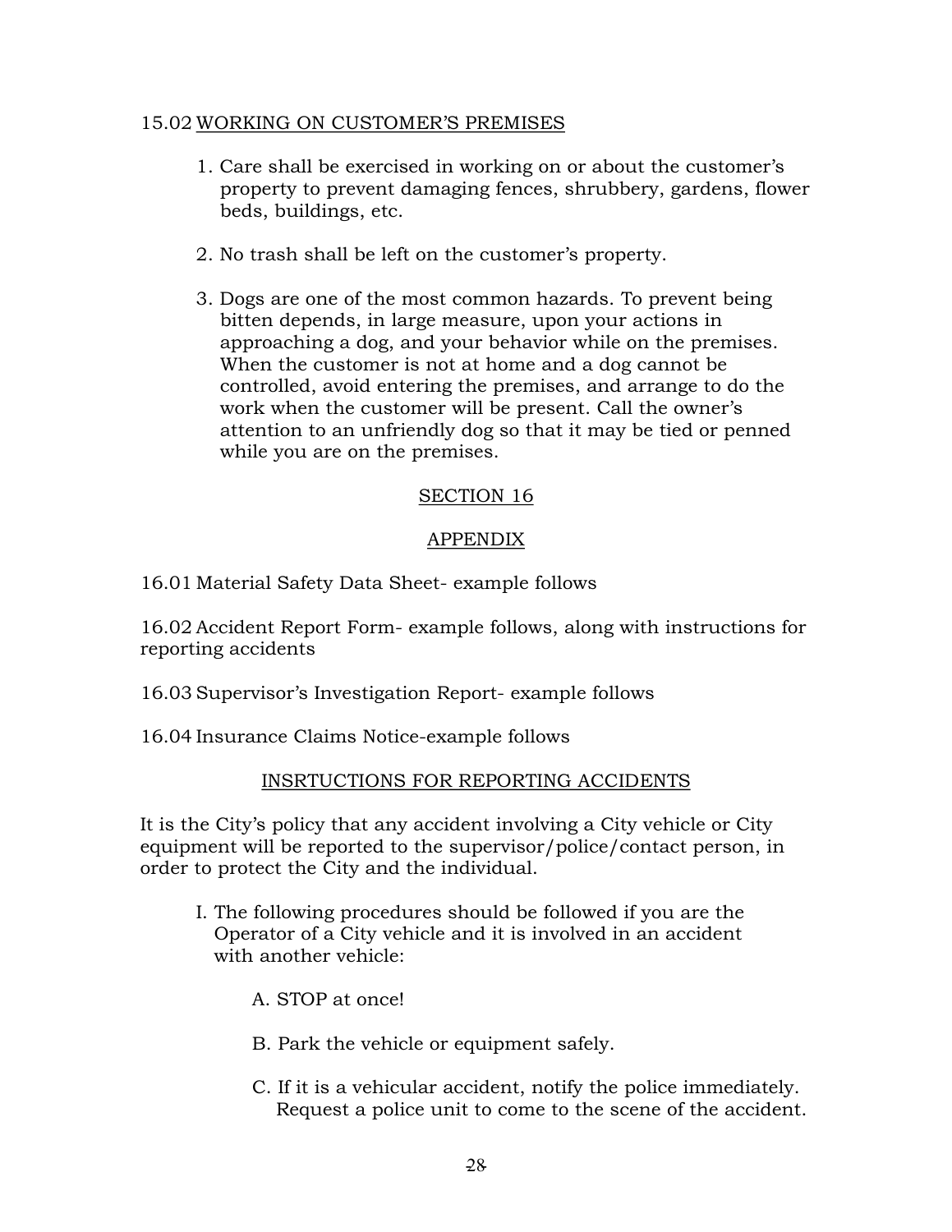#### 15.02 WORKING ON CUSTOMER'S PREMISES

- 1. Care shall be exercised in working on or about the customer's property to prevent damaging fences, shrubbery, gardens, flower beds, buildings, etc.
- 2. No trash shall be left on the customer's property.
- 3. Dogs are one of the most common hazards. To prevent being bitten depends, in large measure, upon your actions in approaching a dog, and your behavior while on the premises. When the customer is not at home and a dog cannot be controlled, avoid entering the premises, and arrange to do the work when the customer will be present. Call the owner's attention to an unfriendly dog so that it may be tied or penned while you are on the premises.

#### SECTION 16

# APPENDIX

16.01 Material Safety Data Sheet- example follows

16.02 Accident Report Form example follows, along with instructions for reporting accidents

- 16.03 Supervisor's Investigation Report-example follows
- 16.04 Insurance Claims Notice-example follows

# INSRTUCTIONS FOR REPORTING ACCIDENTS

It is the City's policy that any accident involving a City vehicle or City equipment will be reported to the supervisor/police/contact person, in order to protect the City and the individual.

- I. The following procedures should be followed if you are the Operator of a City vehicle and it is involved in an accident with another vehicle:
	- A. STOP at once!
	- B. Park the vehicle or equipment safely.
	- C. If it is a vehicular accident, notify the police immediately. Request a police unit to come to the scene of the accident.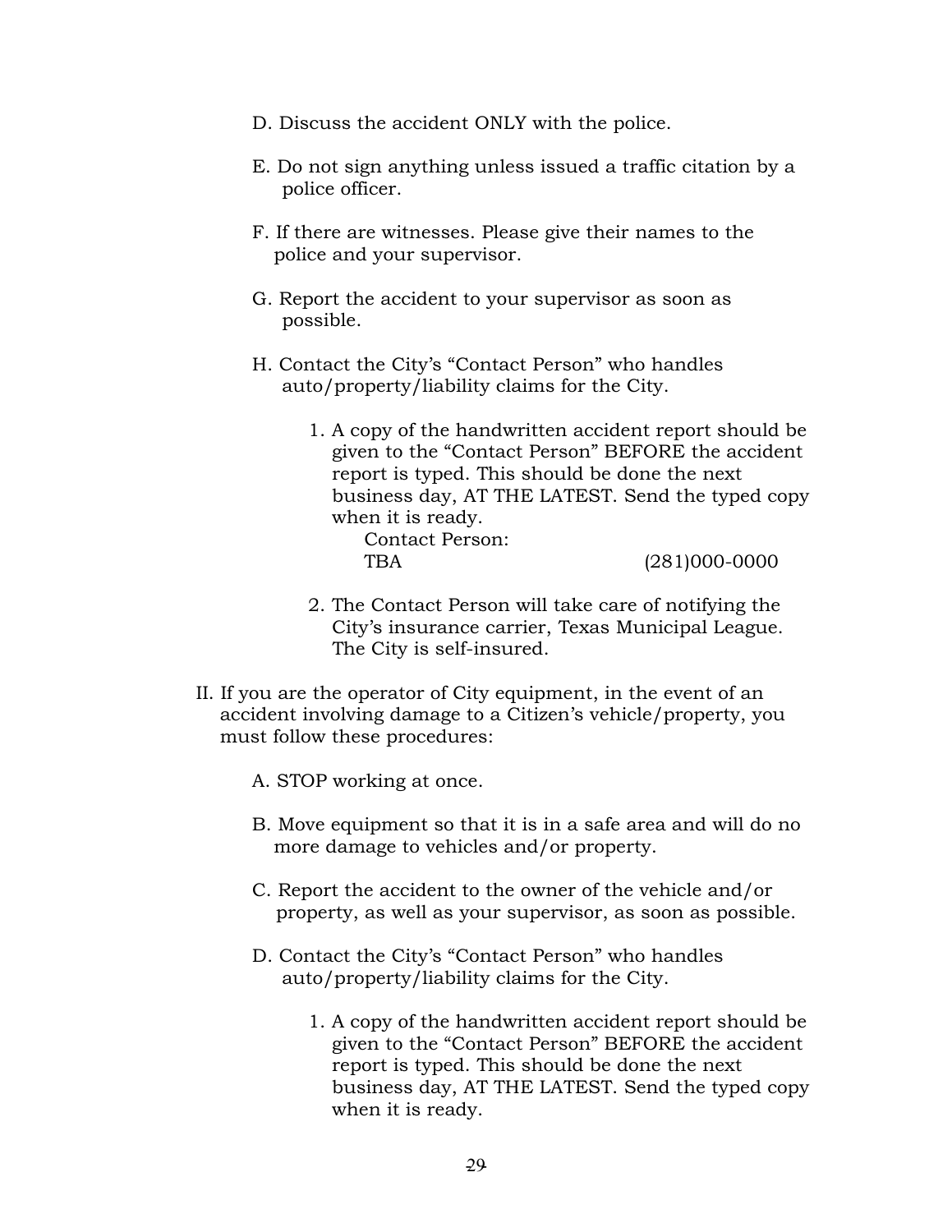- D. Discuss the accident ONLY with the police.
- E. Do not sign anything unless issued a traffic citation by a police officer.
- F. If there are witnesses. Please give their names to the police and your supervisor.
- G. Report the accident to your supervisor as soon as possible.
- H. Contact the City's "Contact Person" who handles auto/property/liability claims for the City.
	- 1. A copy of the handwritten accident report should be given to the "Contact Person" BEFORE the accident report is typed. This should be done the next business day, AT THE LATEST. Send the typed copy when it is ready.

Contact Person:

TBA (281)000-0000

- 2. The Contact Person will take care of notifying the City's insurance carrier, Texas Municipal League. The City is self-insured.
- II. If you are the operator of City equipment, in the event of an accident involving damage to a Citizen's vehicle/property, you must follow these procedures:
	- A. STOP working at once.
	- B. Move equipment so that it is in a safe area and will do no more damage to vehicles and/or property.
	- C. Report the accident to the owner of the vehicle and/or property, as well as your supervisor, as soon as possible.
	- D. Contact the City's "Contact Person" who handles auto/property/liability claims for the City.
		- 1. A copy of the handwritten accident report should be given to the "Contact Person" BEFORE the accident report is typed. This should be done the next business day, AT THE LATEST. Send the typed copy when it is ready.